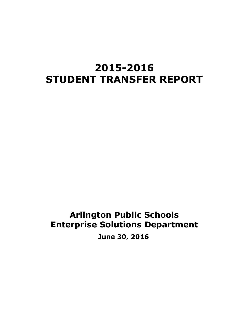# **2015-2016 STUDENT TRANSFER REPORT**

# **Arlington Public Schools Enterprise Solutions Department June 30, 2016**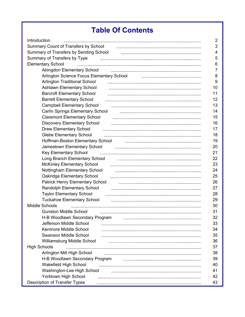# **Table Of Contents**

| Introduction                              | $\overline{2}$ |
|-------------------------------------------|----------------|
| Summary Count of Transfers by School      | 3              |
| Summary of Transfers by Sending School    | 4              |
| Summary of Transfers by Type              | 5              |
| <b>Elementary School</b>                  | 6              |
|                                           | $\overline{7}$ |
| Arlington Science Focus Elementary School | 8              |
| <b>Arlington Traditional School</b>       | 9              |
| <b>Ashlawn Elementary School</b>          | 10             |
| <b>Barcroft Elementary School</b>         | 11             |
| <b>Barrett Elementary School</b>          | 12             |
| <b>Campbell Elementary School</b>         | 13             |
| Carlin Springs Elementary School          | 14             |
| <b>Claremont Elementary School</b>        | 15             |
| <b>Discovery Elementary School</b>        | 16             |
| <b>Drew Elementary School</b>             | 17             |
| <b>Glebe Elementary School</b>            | 18             |
| Hoffman-Boston Elementary School          | 19             |
| Jamestown Elementary School               | 20             |
| Key Elementary School                     | 21             |
| Long Branch Elementary School             | 22             |
| <b>McKinley Elementary School</b>         | 23             |
| Nottingham Elementary School              | 24             |
| <b>Oakridge Elementary School</b>         | 25             |
| Patrick Henry Elementary School           | 26             |
| Randolph Elementary School                | 27             |
| <b>Taylor Elementary School</b>           | 28             |
| <b>Tuckahoe Elementary School</b>         | 29             |
| Middle Schools                            | 30             |
| <b>Gunston Middle School</b>              | 31             |
| H-B Woodlawn Secondary Program            |                |
|                                           | 32             |
| Jefferson Middle School                   | 33             |
| Kenmore Middle School                     | 34             |
| Swanson Middle School                     | 35             |
| Williamsburg Middle School                | 36             |
| <b>High Schools</b>                       | 37             |
| Arlington Mill High School                | 38             |
| H-B Woodlawn Secondary Program            | 39             |
| Wakefield High School                     | 40             |
| Washington-Lee High School                | 41             |
| Yorktown High School                      | 42             |
| Description of Transfer Types             | 43             |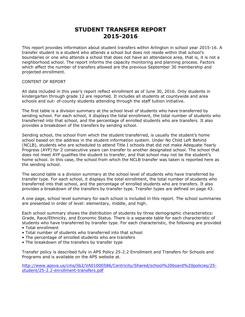## **STUDENT TRANSFER REPORT 2015-2016**

<span id="page-2-0"></span>This report provides information about student transfers within Arlington in school year 2015-16. A transfer student is a student who attends a school but does not reside within that school's boundaries or one who attends a school that does not have an attendance area, that is, it is not a neighborhood school. The report informs the capacity monitoring and planning process. Factors which affect the number of transfers allowed are the previous September 30 membership and projected enrollment.

### CONTENT OF REPORT

All data included in this year's report reflect enrollment as of June 30, 2016. Only students in kindergarten through grade 12 are reported. It includes all students at countywide and area schools and out- of-county students attending through the staff tuition initiative.

The first table is a division summary at the school level of students who have transferred by sending school. For each school, it displays the total enrollment, the total number of students who transferred into that school, and the percentage of enrolled students who are transfers. It also provides a breakdown of the transfers by sending school.

Sending school, the school from which the student transferred, is usually the student's home school based on the address in the student information system. Under No Child Left Behind (NCLB), students who are scheduled to attend Title I schools that did not make Adequate Yearly Progress (AYP) for 2 consecutive years can transfer to another designated school. The school that does not meet AYP qualifies the student to transfer, and that school may not be the student's home school. In this case, the school from which the NCLB transfer was taken is reported here as the sending school.

The second table is a division summary at the school level of students who have transferred by transfer type. For each school, it displays the total enrollment, the total number of students who transferred into that school, and the percentage of enrolled students who are transfers. It also provides a breakdown of the transfers by transfer type. Transfer types are defined on page 43.

A one page, school level summary for each school is included in this report. The school summaries are presented in order of level: elementary, middle, and high.

Each school summary shows the distribution of students by three demographic characteristics: Grade, Race/Ethnicity, and Economic Status. There is a separate table for each characteristic of students who have transferred by transfer type. For each characteristic, the following are provided

- Total enrollment
- Total number of students who transferred into that school
- The percentage of enrolled students who are transfers
- The breakdown of the transfers by transfer type

Transfer policy is described fully in APS Policy 25-2.2 Enrollment and Transfers for Schools and Programs and is available on the APS website at.

[http://www.apsva.us/cms/lib2/VA01000586/Centricity/Shared/school%20board%20policies/25](http://www.apsva.us/cms/lib2/VA01000586/Centricity/Shared/school%20board%20policies/25-student/25-2.2-enrollment-transfers.pdf) [student/25-2.2-enrollment-transfers.pdf](http://www.apsva.us/cms/lib2/VA01000586/Centricity/Shared/school%20board%20policies/25-student/25-2.2-enrollment-transfers.pdf)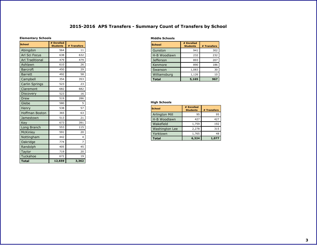## **2015-2016 APS Transfers - Summary Count of Transfers by School**

#### **Elementary Schools**

<span id="page-3-0"></span>

| <b>School</b>          | # Enrolled<br><b>Students</b> | # Transfers |
|------------------------|-------------------------------|-------------|
| Abingdon               | 564                           | 11          |
| Arl Sci Focus          | 638                           | 632         |
| <b>Arl Traditional</b> | 479                           | 479         |
| Ashlawn                | 610                           | 26          |
| <b>Barcroft</b>        | 450                           | 29          |
| <b>Barrett</b>         | 492                           | 58          |
| Campbell               | 354                           | 353         |
| Carlin Springs         | 523                           | 23          |
| Claremont              | 682                           | 682         |
| Discovery              | 523                           | 16          |
| Drew                   | 519                           | 286         |
| Glebe                  | 580                           | 5           |
| Henry                  | 538                           | 57          |
| <b>Hoffman Boston</b>  | 365                           | 63          |
| Jamestown              | 513                           | 21          |
| Key                    | 673                           | 391         |
| Long Branch            | 553                           | 115         |
| <b>McKinley</b>        | 591                           | 20          |
| Nottingham             | 442                           | 4           |
| Oakridge               | 774                           | 7           |
| Randolph               | 405                           | 45          |
| Taylor                 | 719                           | 20          |
| Tuckahoe               | 672                           | 19          |
| <b>Total</b>           | 12,659                        | 3,362       |

#### **Middle Schools**

| <b>School</b>    | # Enrolled<br><b>Students</b> | # Transfers |
|------------------|-------------------------------|-------------|
| Gunston          | 941                           | 302         |
| H-B Woodlawn     | 232                           | 232         |
| <b>Jefferson</b> | 893                           | 207         |
| Kenmore          | 890                           | 186         |
| Swanson          | 1,083                         | 30          |
| Williamsburg     | 1,126                         | 10          |
| <b>Total</b>     | 5,165                         | 967         |

#### **High Schools**

| <b>School</b>         | # Enrolled<br><b>Students</b> | # Transfers |
|-----------------------|-------------------------------|-------------|
| <b>Arlington Mill</b> | 95                            | 95          |
| H-B Woodlawn          | 427                           | 427         |
| Wakefield             | 1,759                         | 192         |
| <b>Washington Lee</b> | 2,278                         | 315         |
| Yorktown              | 1,765                         | 48          |
| <b>Total</b>          | 6,324                         | 1,077       |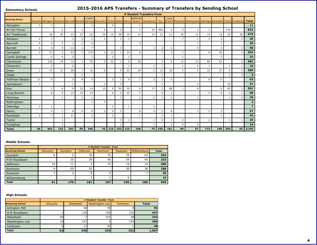#### **Elementary Schools**

## **2015-2016 APS Transfers - Summary of Transfers by Sending School**

<span id="page-4-0"></span>

|                         |                | # Student Transfers From |                |                |                |                |                                                                              |                |                |                |                                 |                |                |                |                |                                                              |                |                |              |              |                |
|-------------------------|----------------|--------------------------|----------------|----------------|----------------|----------------|------------------------------------------------------------------------------|----------------|----------------|----------------|---------------------------------|----------------|----------------|----------------|----------------|--------------------------------------------------------------|----------------|----------------|--------------|--------------|----------------|
| <b>Receiving School</b> |                |                          |                |                |                | Carlin         | OCounty Abingdon Ashlawn Barcroft Barrett Springs Discovery Drew Glebe Henry |                |                |                | <b>Hoffmar</b><br><b>Boston</b> | Jamestown      | Key            | Long           |                | Branch McKinley Nottingham Oakridge Randolph Taylor Tuckahoe |                |                |              |              | <b>Total</b>   |
| Abingdon                | 3              | 1                        |                |                |                | $\overline{2}$ |                                                                              | $\overline{4}$ |                |                | $\mathbf{1}$                    |                |                |                |                |                                                              |                |                |              |              | 11             |
| Arl Sci Focus           |                |                          | $\overline{2}$ |                | -1             |                | $\overline{4}$                                                               |                | 3              |                | $\mathbf{1}$                    | 31             | 462            | $\overline{4}$ | 3              | 1                                                            | 1              |                | 119          |              | 632            |
| <b>Arl Traditional</b>  |                | 28                       | 56             | 33             | 27             | 22             | 29                                                                           | 14             | 58             | 19             | 14                              | 14             | 21             | 12             | 30             | 15                                                           | 19             | 13             | 25           | 30           | 479            |
| Ashlawn                 | $\overline{2}$ | $\mathbf{1}$             |                | 1              | 2              | 1              |                                                                              |                |                | 1              |                                 |                |                |                |                | $\mathbf{1}$                                                 | 2              | $\overline{4}$ |              | 2            | 26             |
| Barcroft                | $\overline{4}$ | 3                        | 3              | $\mathbf{1}$   | 1              | 6              |                                                                              |                |                |                | 3                               |                |                |                |                | -1                                                           |                | $\overline{7}$ |              |              | 29             |
| Barrett                 | 6              | 6                        | 9              | 13             | 1              | $\overline{7}$ |                                                                              |                | 3              |                |                                 | $\mathbf{1}$   | $\overline{2}$ | $\overline{2}$ |                | 3                                                            |                | 3              |              | 2            | 58             |
| Campbell                | 3              | 57                       | $\overline{2}$ | 41             | -1             | 173            |                                                                              | 12             |                | 14             | 6                               |                |                | 3              |                |                                                              | 8              | 26             |              |              | 353            |
| Carlin Springs          |                | 6                        | 4              | 5              |                | $\mathbf{1}$   |                                                                              | 2              |                | 1              |                                 |                |                |                |                |                                                              |                | 3              |              |              | 23             |
| Claremont               |                | 230                      | 24             | 73             | -1             | 79             | 5                                                                            | 52             |                | $\overline{4}$ | 20                              |                | 3              | 6              | 15             | 12                                                           | 89             | 63             |              | 5            | 682            |
| Discovery               |                | $\overline{2}$           |                | $\overline{2}$ |                |                |                                                                              |                |                | $\mathbf{1}$   |                                 | $\mathbf{1}$   |                |                |                | 5                                                            | -1             |                |              |              | 16             |
| Drew                    | 1              | 47                       | 11             | 28             | $\overline{7}$ | 16             | 8                                                                            |                | 9              | 22             | 29                              | $\overline{2}$ | 13             | 18             | $\Delta$       | $\overline{2}$                                               | 32             | 27             | 6            |              | 286            |
| Glebe                   |                |                          |                |                | $\mathbf{1}$   |                |                                                                              |                |                |                |                                 |                |                |                |                |                                                              |                |                |              |              | 5              |
| <b>Hoffman Boston</b>   | 11             | 5                        |                | $\overline{2}$ | 8              | 5              |                                                                              | $\overline{2}$ | $\mathbf{1}$   | $\overline{4}$ | $\mathbf{1}$                    | $\overline{2}$ | 3              | 5              |                |                                                              | 8              | 6              |              |              | 63             |
| Jamestown               | $\mathbf{1}$   |                          |                | $\mathbf{1}$   |                |                | 3                                                                            |                | $\overline{3}$ |                |                                 |                |                |                |                | $\overline{2}$                                               |                |                | 10           |              | 21             |
| <b>Key</b>              |                | $\overline{2}$           | 8              | 9              | 32             | 14             | 15                                                                           | 9              | 55             | 35             | 9                               | 17             | 2              | 88             | 1              | $\overline{4}$                                               |                | 6              | 83           | 2            | 391            |
| Long Branch             |                | 8                        | 5              | 12             | 12             | 12             |                                                                              | 6              | $\overline{4}$ | 12             | $\overline{7}$                  |                | $\overline{4}$ |                |                |                                                              | 5              | 6              | 3            | $\mathbf{1}$ | 98             |
| McKinley                |                |                          | $\mathbf{1}$   |                | $\overline{1}$ | -1             |                                                                              |                | $\overline{7}$ |                | $\overline{2}$                  | $\overline{2}$ |                |                |                | -1                                                           |                |                |              | 2            | 20             |
| Nottingham              |                |                          |                |                |                |                | 3                                                                            |                |                |                |                                 |                |                |                |                |                                                              |                |                |              |              | 4              |
| Oakridge                | $\overline{2}$ |                          |                |                |                |                |                                                                              | $\overline{2}$ |                | $\mathbf{1}$   |                                 | $\mathbf{1}$   |                |                |                |                                                              |                |                |              |              | $\overline{z}$ |
| Henry                   |                | $\overline{4}$           | $\mathbf{1}$   | 9              | $\overline{4}$ | $\overline{4}$ |                                                                              | 5              | $\overline{2}$ |                | 6                               | $\overline{2}$ | $\overline{2}$ | 8              |                | $\mathbf{1}$                                                 | 5              | 3              |              |              | 57             |
| Randolph                | 3              |                          | $\mathbf{1}$   | 31             |                | 2              |                                                                              | $\overline{2}$ |                |                | $\mathbf{1}$                    |                | 2              |                |                |                                                              |                | -1             |              |              | 45             |
| Taylor                  |                |                          | $\overline{2}$ |                |                |                |                                                                              |                | 3              | 1              |                                 | $\mathbf{1}$   | 6              |                | $\overline{2}$ |                                                              | $\overline{2}$ |                | $\mathbf{1}$ |              | 20             |
| Tuckahoe                |                |                          | 3              |                |                |                |                                                                              |                |                |                |                                 | $\overline{1}$ |                |                | $\Delta$       | 9                                                            |                |                |              |              | 19             |
| Total                   | 36             | 402                      | 132            | 261            | 99             | 346            | 70                                                                           | 110            | 152            | 115            | 100                             | 75             | 525            | 151            | 69             | 57                                                           | 172            | 168            | 250          | 55           | 3,345          |

#### **Middle Schools**

|                         | # Student Transfer From |                |                  |                |         |              |              |  |  |  |  |  |
|-------------------------|-------------------------|----------------|------------------|----------------|---------|--------------|--------------|--|--|--|--|--|
| <b>Receiving School</b> | <b>OCounty</b>          | <b>Gunston</b> | <b>Jefferson</b> | <b>Kenmore</b> | Swanson | Williamsburg | <b>Total</b> |  |  |  |  |  |
| Gunston                 | 8                       |                | 76               | 75             | 78      | 63           | 302          |  |  |  |  |  |
| H-B Woodlawn            |                         | 35             | 39               | 40             | 54      | 64           | 232          |  |  |  |  |  |
| <b>Jefferson</b>        | 18                      | 71             | 4                | 75             | 19      | 18           | 205          |  |  |  |  |  |
| Kenmore                 | 8                       | 59             | 52               |                | 39      | 28           | 186          |  |  |  |  |  |
| Swanson                 |                         |                | 8                |                |         |              | 30           |  |  |  |  |  |
| Williamsburg            |                         |                |                  |                | 6       |              | 10           |  |  |  |  |  |
| <b>Total</b>            | 41                      | 170            | 181              | 197            | 196     | 180          | 965          |  |  |  |  |  |

### **High Schools**

|                         |                | # Student Transfer From |                       |          |              |  |  |  |  |  |  |  |
|-------------------------|----------------|-------------------------|-----------------------|----------|--------------|--|--|--|--|--|--|--|
| <b>Receiving School</b> | <b>OCounty</b> | Wakefield               | <b>Washington Lee</b> | Yorktown | <b>Total</b> |  |  |  |  |  |  |  |
| <b>Arlington Mill</b>   |                | 48                      | 39                    |          | 95           |  |  |  |  |  |  |  |
| H-B Woodlawn            |                | 130                     | 155                   | 141      | 427          |  |  |  |  |  |  |  |
| Wakefield               | 46             |                         | 101                   | 38I      | 192          |  |  |  |  |  |  |  |
| Washington Lee          | 10             | 147                     |                       | 143I     | 305          |  |  |  |  |  |  |  |
| Yorktown                |                |                         | 25                    |          | 48           |  |  |  |  |  |  |  |
| <b>Total</b>            | 62             | 349                     | 325                   | 331      | 1,067        |  |  |  |  |  |  |  |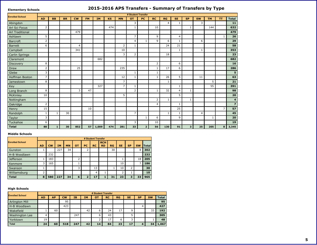#### **Elementary Schools**

## **2015-2016 APS Transfers - Summary of Transfers by Type**

<span id="page-5-0"></span>

|                        |                | # Student Transfer |           |                |           |           |           |                |                |                |                |              |                |                         |                |           |                |                         |
|------------------------|----------------|--------------------|-----------|----------------|-----------|-----------|-----------|----------------|----------------|----------------|----------------|--------------|----------------|-------------------------|----------------|-----------|----------------|-------------------------|
| <b>Enrolled School</b> | <b>AD</b>      | <b>BB</b>          | <b>BR</b> | <b>CW</b>      | <b>FM</b> | <b>IM</b> | <b>KS</b> | <b>MN</b>      | <b>OT</b>      | PC             | <b>RC</b>      | RG           | <b>SE</b>      | <b>SP</b>               | <b>SW</b>      | <b>TM</b> | <b>TT</b>      | <b>Total</b>            |
| Abingdon               |                |                    |           |                |           |           |           |                | 3              |                |                | 4            | 1              |                         | 3              |           |                | 11                      |
| Arl Sci Focus          | $\overline{2}$ |                    |           |                |           |           | 474       |                | 1              |                | 10             |              |                | 1                       |                | 144       |                | 632                     |
| Arl Traditional        |                |                    |           | 479            |           |           |           |                |                |                |                |              |                |                         |                |           |                | 479                     |
| Ashlawn                | 5              |                    |           |                |           |           |           |                | $\overline{7}$ |                | 9              |              | $\overline{4}$ |                         |                |           | 1              | 26                      |
| Barcroft               | $\overline{2}$ |                    |           |                |           |           |           |                | $\overline{4}$ | 1              | 9              | 6            | 1              |                         | 6              |           |                | 29                      |
| <b>Barrett</b>         | 6              |                    |           | $\overline{4}$ |           |           |           | $\overline{2}$ | 1              |                |                | 24           | 21             |                         |                |           |                | 58                      |
| <b>Campbell</b>        |                |                    |           | 341            |           |           |           | 10             |                |                |                |              | 1              |                         | 1              |           |                | 353                     |
| Carlin Springs         |                |                    |           |                |           |           |           | 3              | $\overline{2}$ |                |                | 18           |                |                         |                |           |                | 23                      |
| <b>Claremont</b>       |                |                    |           |                |           | 682       |           |                |                |                |                |              |                |                         |                |           |                | 682                     |
| <b>Discovery</b>       | 8              |                    |           |                |           |           |           |                |                |                | $\overline{2}$ |              | 6              |                         |                |           |                | 16                      |
| Drew                   | 2              |                    |           | 25             |           |           |           | 235            |                |                | 1              | 17           | 6              |                         |                |           |                | 286                     |
| Glebe                  | 3              |                    |           |                |           |           |           |                | 1              |                | 1              |              |                |                         |                |           |                | 5                       |
| Hoffman Boston         | $\overline{7}$ |                    |           |                |           |           |           | 12             | $\mathbf{1}$   |                | 1              | 26           | 5              |                         | 11             |           |                | 63                      |
| Jamestown              | 8              |                    |           |                |           |           |           | 7              |                |                |                | $\mathbf{1}$ |                |                         |                | 5         |                | 21                      |
| Key                    |                |                    |           |                |           | 327       |           | 7              | 1              |                |                |              | 1              |                         |                | 55        |                | 391                     |
| Long Branch            | 8              |                    |           | 3              | 47        |           |           |                | 2              |                | 1              | 32           | 4              | 1                       |                |           |                | 98                      |
| McKinley               | 10             |                    |           |                |           |           |           | 5              |                |                |                |              | 5              |                         |                |           |                | 20                      |
| Nottingham             |                |                    |           |                |           |           |           |                |                |                | $\overline{2}$ | 1            |                | $\mathbf{1}$            |                |           |                | $\overline{\mathbf{4}}$ |
| Oakridge               | $\overline{2}$ |                    |           |                |           |           |           |                |                |                | $\overline{4}$ |              | 1              |                         |                |           |                | $\overline{z}$          |
| Henry                  | 15             |                    |           |                | 10        |           |           |                |                |                |                |              | 25             |                         |                |           | $\overline{7}$ | 57                      |
| Randolph               | 1              | 1                  | 30        |                |           |           |           |                | $\overline{7}$ |                |                | 1            | 1              |                         | $\overline{4}$ |           |                | 45                      |
| Taylor                 | 3              |                    |           |                |           |           |           |                |                | $\mathbf{1}$   | 6              |              | 9              |                         |                | 1         |                | 20                      |
| Tuckahoe               | 6              |                    |           |                |           |           |           |                | 3              |                | 10             |              |                |                         |                |           |                | 19                      |
| <b>Total</b>           | 88             | $\mathbf{1}$       | 30        | 852            | 57 I      | 1,009     | 474       | 281            | 33             | 2 <sup>1</sup> | 56             | 130          | 91             | $\overline{\mathbf{3}}$ | 25             | 205       | 8              | 3,345                   |

### **Middle Schools**

|                        |           |           |     |           |           |         | # Student Transfer |                         |    |           |           |           |        |
|------------------------|-----------|-----------|-----|-----------|-----------|---------|--------------------|-------------------------|----|-----------|-----------|-----------|--------|
| <b>Enrolled School</b> | <b>AD</b> | <b>CW</b> | IΜ  | <b>MN</b> | <b>OT</b> | PС      | <b>RC</b>          | <b>RCH</b><br><b>RD</b> | RG | <b>SE</b> | <b>SP</b> | <b>SW</b> | Totall |
| <b>Gunston</b>         |           |           | 227 | 34        |           | C.<br>ے |                    |                         | 30 |           |           | 8         | 302    |
| H-B Woodlawn           |           | 232       |     |           |           |         |                    |                         |    |           |           |           | 232    |
| <b>Jefferson</b>       |           | 183       |     |           | 2         |         |                    |                         |    |           |           | 18        | 205    |
| Kenmore                | 3         | 165       |     |           |           |         |                    |                         |    | 10        |           |           | 186    |
| Swanson                |           |           |     |           | 3         |         | 13                 |                         |    | 10        | 2         |           | 30     |
| Williamsburg           |           |           |     |           |           |         | $\overline{4}$     |                         |    |           | л.        |           | 10     |
| <b>Total</b>           | 8         | 580       | 227 | 34        | 6         | -       | 17                 |                         | 31 | 23        | 3         | 33        | 965    |

#### **High Schools**

| <b>Enrolled School</b> |           |           |           |     |           | # Student Transfer |           |           |           |           |           |              |
|------------------------|-----------|-----------|-----------|-----|-----------|--------------------|-----------|-----------|-----------|-----------|-----------|--------------|
|                        | <b>AD</b> | <b>AP</b> | <b>CW</b> | ĪΒ  | <b>IM</b> | <b>OT</b>          | <b>RC</b> | <b>RG</b> | <b>SE</b> | <b>SP</b> | <b>SW</b> | <b>Total</b> |
| <b>Arlington Mill</b>  |           |           | 95        |     |           |                    |           |           |           |           |           | 95           |
| H-B Woodlawn           |           |           | 423       |     |           |                    |           |           |           |           |           | 427          |
| Wakefield              |           | 60        |           |     | 42        |                    | 24        | 17        | 9         |           | 33        | 192          |
| Washington Lee         | 4         |           |           | 247 |           | h                  | 43        |           |           |           |           | 305          |
| Yorktown               | 19        |           |           |     |           |                    | 17        | 6         |           |           |           | 48           |
| <b>Total</b>           | 24        | 60        | 518       | 247 | 42        | 14                 | 84        | 23        | 17        | Δ         | 34        | 1.067        |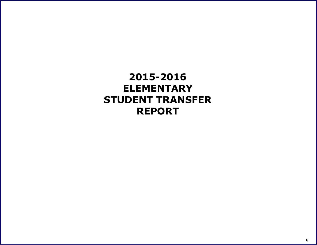<span id="page-6-0"></span>**2015-2016 ELEMENTARY STUDENT TRANSFER REPORT**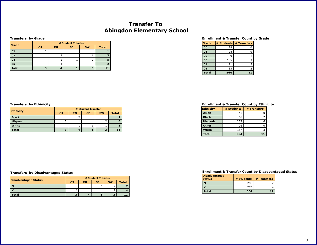## **Transfer To Abingdon Elementary School**

#### **Transfers by Grade**

| Grade        |    |    | # Student Transfer |           |              |
|--------------|----|----|--------------------|-----------|--------------|
|              | OT | RG | <b>SE</b>          | <b>SW</b> | <b>Total</b> |
| 02           |    |    |                    |           |              |
| 03           |    |    |                    |           |              |
| 04           |    |    |                    |           |              |
| 05           |    |    |                    |           |              |
| <b>Total</b> |    |    |                    |           |              |

#### **Enrollment & Transfer Count by Grade**

| Grade        |     | # Students # Transfers |
|--------------|-----|------------------------|
| 00           | 98  |                        |
| 01           | 98  |                        |
| 02           | 109 |                        |
| 03           | 105 | 3                      |
| 04           | 71  | 5                      |
| 05           | 83  |                        |
| <b>Total</b> | 564 | 11                     |

|                  | # Student Transfer |           |           |           |              |  |  |
|------------------|--------------------|-----------|-----------|-----------|--------------|--|--|
| <b>Ethnicity</b> | <b>OT</b>          | <b>RG</b> | <b>SE</b> | <b>SW</b> | <b>Total</b> |  |  |
| <b>Black</b>     |                    |           |           |           |              |  |  |
| <b>Hispanic</b>  |                    |           |           |           |              |  |  |
| White            |                    |           |           |           |              |  |  |
| <b>Total</b>     |                    |           |           |           |              |  |  |

#### <span id="page-7-0"></span>**Transfers by Ethinicity Enrollment & Transfer Count by Ethnicity**

| <b>Ethnicity</b> | # Students | # Transfers |
|------------------|------------|-------------|
| Asian            | 46         |             |
| <b>Black</b>     | 68         |             |
| <b>Hispanic</b>  | 237        |             |
| <b>Other</b>     | 26         |             |
| White            | 187        |             |
| <b>Total</b>     | 564        | 42          |

#### **Transfers by Disadvantaged Status**

|                             | # Student Transfer |    |           |           |       |  |  |
|-----------------------------|--------------------|----|-----------|-----------|-------|--|--|
| <b>Disadvantaged Status</b> | רס                 | RG | <b>SE</b> | <b>SW</b> | Total |  |  |
|                             |                    |    |           |           |       |  |  |
|                             |                    |    |           |           |       |  |  |
| <b>c</b> otal               |                    |    |           |           |       |  |  |

| <b>Disadvantaged</b><br><b>Status</b> | # Students | # Transfers |
|---------------------------------------|------------|-------------|
|                                       | 288        |             |
|                                       | 276        |             |
| <b>Total</b>                          | 564        | 11          |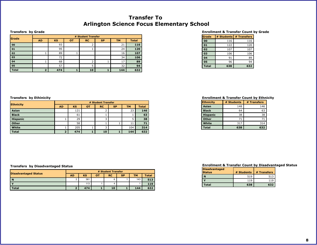## **Transfer To Arlington Science Focus Elementary School**

#### **Transfers by Grade**

|              |           | # Student Transfer |           |           |           |           |              |
|--------------|-----------|--------------------|-----------|-----------|-----------|-----------|--------------|
| Grade        | <b>AD</b> | <b>KS</b>          | <b>OT</b> | <b>RC</b> | <b>SP</b> | <b>TM</b> | <b>Total</b> |
| 00           |           | 93                 |           |           |           | 21        | 116          |
| 01           |           | 95                 |           |           |           | 24        | 120          |
| 02           |           | 89                 |           |           |           | 16        | 107          |
| 03           |           | 72                 |           |           |           | 34        | 106          |
| 04           |           | 68                 |           |           |           | 17        | 89           |
| 05           |           | 57                 |           |           |           | 32        | 94           |
| <b>Total</b> | D         | 474                |           | 10        | ъ         | 144       | 632          |

#### **Enrollment & Transfer Count by Grade**

| Grade        | # Students | # Transfers |
|--------------|------------|-------------|
| 00           | 116        | 116         |
| 01           | 122        | 120         |
| 02           | 107        | 107         |
| 03           | 106        | 106         |
| 04           | 91         | 89          |
| 05           | 96         | 94          |
| <b>Total</b> | 638        | 632         |

| <b>Ethnicity</b> |                | # Student Transfer |           |           |           |           |              |  |
|------------------|----------------|--------------------|-----------|-----------|-----------|-----------|--------------|--|
|                  | <b>AD</b>      | <b>KS</b>          | <b>OT</b> | <b>RC</b> | <b>SP</b> | <b>TM</b> | <b>Total</b> |  |
| Asian            |                | 121                |           |           |           | 23        | 146          |  |
| <b>Black</b>     |                | 61                 |           |           |           |           | 63           |  |
| <b>Hispanic</b>  |                | 29                 |           |           |           |           | 38           |  |
| Other            |                | 58                 |           |           |           | 11        | 71           |  |
| White            |                | 205                |           | 3         |           | 104       | 314          |  |
| <b>Total</b>     | $\overline{2}$ | 474                |           | 10        |           | 144       | 632          |  |

#### <span id="page-8-0"></span>**Transfers by Ethinicity Enrollment & Transfer Count by Ethnicity**

| <b>Ethnicity</b> | # Students | # Transfers |
|------------------|------------|-------------|
| Asian            | 148        | 146         |
| <b>Black</b>     | 64         | 63          |
| <b>Hispanic</b>  | 38         | 38          |
| <b>Other</b>     | 71         | 71          |
| White            | 317        | 314         |
| <b>Total</b>     | 638        | 632         |

#### **Transfers by Disadvantaged Status**

|                             | # Student Transfer |           |    |           |           |           |              |
|-----------------------------|--------------------|-----------|----|-----------|-----------|-----------|--------------|
| <b>Disadvantaged Status</b> | <b>AD</b>          | <b>KS</b> | ΟТ | <b>RC</b> | <b>SP</b> | <b>TM</b> | <b>Total</b> |
| N                           | $\sim$<br>۷        | 361       |    | а         |           | 143       | 513          |
| $\mathbf{v}$                |                    | 113       |    |           |           |           | 119          |
| <b>Total</b>                | ◢                  | 474       |    | 10        |           | 144       | 632          |

| <b>Disadvantaged</b><br><b>Status</b> | # Students | # Transfers |
|---------------------------------------|------------|-------------|
|                                       | 519        | 513         |
|                                       | 119        | 1 1 C       |
| Total                                 | 638        | 632         |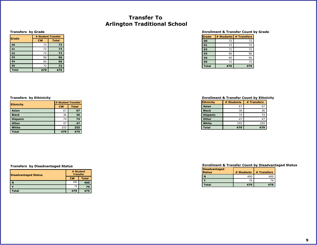## **Transfer To Arlington Traditional School**

#### **Transfers by Grade**

**Ethnicity**

**Asian Black Hispanic Other White Total**

| Grade        | # Student Transfer |              |  |  |
|--------------|--------------------|--------------|--|--|
|              | <b>CW</b>          | <b>Total</b> |  |  |
| 00           | 72                 | 72           |  |  |
| 01           | 72                 | 72           |  |  |
| 02           | 72                 | 72           |  |  |
| 03           | 96                 | 96           |  |  |
| 04           | 95                 | 95           |  |  |
| 05           | 72                 | 72           |  |  |
| <b>Total</b> | 479                | 479          |  |  |

#### **Enrollment & Transfer Count by Grade**

| Grade        |     | # Students # Transfers |
|--------------|-----|------------------------|
| 00           | 72  | 72                     |
| 01           | 72  | 72                     |
| 02           | 72  | 72                     |
| 03           | 96  | 96                     |
| 04           | 95  | 95                     |
| 05           | 72  | 72                     |
| <b>Total</b> | 479 | 479                    |

#### <span id="page-9-0"></span>**Transfers by Ethinicity Enrollment & Transfer Count by Ethnicity**

| <b>Ethnicity</b> | # Students | # Transfers |
|------------------|------------|-------------|
| Asian            | 67         | 67          |
| <b>Black</b>     | 36         | 36          |
| <b>Hispanic</b>  | 74         | 74          |
| Other            | 47         | 47          |
| White            | 255        | 255         |
| <b>Total</b>     | 479        | 479         |

#### **Transfers by Disadvantaged Status**

| <b>Disadvantaged Status</b> | # Student<br><b>Transfer</b> |              |  |  |
|-----------------------------|------------------------------|--------------|--|--|
|                             | <b>CW</b>                    | <b>Total</b> |  |  |
| N                           | 400                          | 400          |  |  |
|                             | 79                           | 79           |  |  |
| <b>Total</b>                | 479                          | 479          |  |  |

**# Student Transfer CW Total**

| <b>Disadvantaged</b><br><b>Status</b> | # Students | # Transfers |
|---------------------------------------|------------|-------------|
|                                       | 400        | 400         |
|                                       | 70         |             |
| Total                                 | 479        | $47-$       |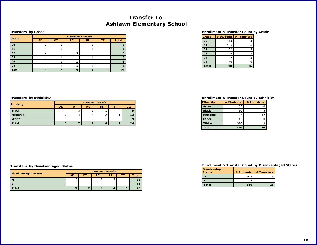## **Transfer To Ashlawn Elementary School**

#### **Transfers by Grade**

| Grade        | # Student Transfer |           |           |           |    |              |  |  |
|--------------|--------------------|-----------|-----------|-----------|----|--------------|--|--|
|              | <b>AD</b>          | <b>OT</b> | <b>RC</b> | <b>SE</b> | ТT | <b>Total</b> |  |  |
| 00           |                    |           |           |           |    |              |  |  |
| 01           |                    |           |           |           |    | 6            |  |  |
| 02           |                    |           |           |           |    |              |  |  |
| 03           |                    |           |           |           |    |              |  |  |
| 04           |                    |           |           |           |    |              |  |  |
| 05           |                    |           |           |           |    | 6.           |  |  |
| <b>Total</b> |                    |           | q         |           |    | 26           |  |  |

#### **Enrollment & Transfer Count by Grade**

| Grade        |     | # Students # Transfers |
|--------------|-----|------------------------|
| 00           | 113 |                        |
| 01           | 135 | 6                      |
| 02           | 102 |                        |
| 03           | 79  | ٦                      |
| 04           | 92  |                        |
| 05           | 89  |                        |
| <b>Total</b> | 610 | 26                     |

| <b>Ethnicity</b> | # Student Transfer |    |           |           |    |              |  |  |
|------------------|--------------------|----|-----------|-----------|----|--------------|--|--|
|                  | <b>AD</b>          | от | <b>RC</b> | <b>SE</b> | тт | <b>Total</b> |  |  |
| <b>Black</b>     |                    |    |           |           |    |              |  |  |
| <b>Hispanic</b>  |                    | 4  | - -       |           |    | 12           |  |  |
| White            |                    |    |           |           |    | 9            |  |  |
| <b>Total</b>     |                    |    |           |           |    | 26           |  |  |

#### <span id="page-10-0"></span>**Transfers by Ethinicity Enrollment & Transfer Count by Ethnicity**

| <b>Ethnicity</b> | # Students | # Transfers |
|------------------|------------|-------------|
| Asian            | 65         |             |
| <b>Black</b>     | 30         |             |
| <b>Hispanic</b>  | 97         | 12          |
| <b>Other</b>     | 42         |             |
| White            | 376        |             |
| <b>Total</b>     | 610        | 26          |

### **Transfers by Disadvantaged Status**

|                             | # Student Transfer |           |           |           |    |       |  |  |
|-----------------------------|--------------------|-----------|-----------|-----------|----|-------|--|--|
| <b>Disadvantaged Status</b> | <b>AD</b>          | <b>OT</b> | <b>RC</b> | <b>SE</b> | TΤ | Total |  |  |
| N                           | 5                  |           |           |           |    |       |  |  |
|                             |                    |           | ົ<br>ے    |           |    |       |  |  |
| <b>Total</b>                |                    |           | 9         |           |    | 26    |  |  |

| <b>Disadvantaged</b><br><b>Status</b> | # Students | # Transfers |
|---------------------------------------|------------|-------------|
|                                       | 503        |             |
|                                       | 107        |             |
| Total                                 | 610        | 26          |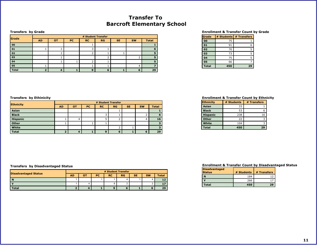## **Transfer To Barcroft Elementary School**

#### **Transfers by Grade**

|              |           | # Student Transfer |           |           |    |           |           |              |
|--------------|-----------|--------------------|-----------|-----------|----|-----------|-----------|--------------|
| Grade        | <b>AD</b> | OТ                 | <b>PC</b> | <b>RC</b> | RG | <b>SE</b> | <b>SW</b> | <b>Total</b> |
| 00           |           |                    |           |           |    |           |           |              |
| 01           |           |                    |           |           |    |           |           | 6            |
| 02           |           |                    |           |           |    |           |           | э.           |
| 03           |           |                    |           |           |    |           |           | ь.           |
| 04           |           |                    |           |           |    |           |           |              |
| 05           |           |                    |           |           |    |           | 4         |              |
| <b>Total</b> |           |                    |           | Ω         | 6  |           | 6         | 29           |

#### **Enrollment & Transfer Count by Grade**

| Grade        | # Students | # Transfers |
|--------------|------------|-------------|
| 00           | 75         |             |
| 01           | 91         | 6           |
| 02           | 70         |             |
| 03           | 73         | 5           |
| 04           | 75         | ς           |
| 05           | 66         |             |
| <b>Total</b> | 450        | 29          |

| <b>Ethnicity</b> |           | # Student Transfer |           |                   |           |           |           |              |  |  |
|------------------|-----------|--------------------|-----------|-------------------|-----------|-----------|-----------|--------------|--|--|
|                  | <b>AD</b> | <b>OT</b>          | <b>PC</b> | <b>RC</b>         | <b>RG</b> | <b>SE</b> | <b>SW</b> | <b>Total</b> |  |  |
| Asian            |           |                    |           |                   |           |           |           |              |  |  |
| <b>Black</b>     |           |                    |           |                   |           |           |           | 6            |  |  |
| <b>Hispanic</b>  |           | 4                  |           |                   |           |           | 4         | 16           |  |  |
| Other            |           |                    |           |                   |           |           |           | ,            |  |  |
| White            |           |                    |           |                   | ے         |           |           |              |  |  |
| <b>Total</b>     |           | 4                  |           | $\mathbf{\Omega}$ | 6         |           | 6         | 29           |  |  |

#### <span id="page-11-0"></span>**Transfers by Ethinicity Enrollment & Transfer Count by Ethnicity**

| <b>Ethnicity</b> | # Students | # Transfers |
|------------------|------------|-------------|
| Asian            | 33         |             |
| <b>Black</b>     | 53         |             |
| <b>Hispanic</b>  | 238        | 16          |
| <b>Other</b>     | 22         |             |
| White            | 104        |             |
| <b>Total</b>     | 450        | 29          |

### **Transfers by Disadvantaged Status**

|                             | # Student Transfer |    |     |           |           |           |           |              |
|-----------------------------|--------------------|----|-----|-----------|-----------|-----------|-----------|--------------|
| <b>Disadvantaged Status</b> | AD                 | ΟТ | PC. | <b>RC</b> | <b>RG</b> | <b>SE</b> | <b>SW</b> | <b>Total</b> |
| N                           |                    |    |     |           |           |           |           |              |
|                             |                    |    |     |           |           |           |           |              |
| <b>Total</b>                |                    |    |     |           |           |           |           | 29           |

| <b>Disadvantaged</b><br><b>Status</b> | # Students | # Transfers |
|---------------------------------------|------------|-------------|
|                                       | 184        |             |
|                                       | 266        |             |
| Total                                 | 450        | 29          |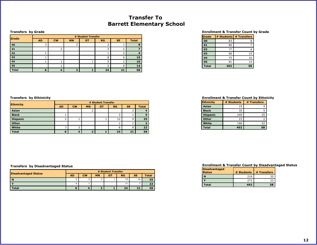## **Transfer To Barrett Elementary School**

#### **Transfers by Grade**

| Grade        |           | # Student Transfer |           |           |           |           |              |
|--------------|-----------|--------------------|-----------|-----------|-----------|-----------|--------------|
|              | <b>AD</b> | <b>CW</b>          | <b>MN</b> | <b>OT</b> | <b>RG</b> | <b>SE</b> | <b>Total</b> |
| 00           |           |                    |           |           |           |           |              |
| 01           |           |                    |           |           |           |           |              |
| 02           |           |                    |           |           |           |           |              |
| 03           |           |                    |           |           | 8         | h         | 15           |
| 04           |           |                    |           |           |           |           | 10           |
| 05           |           |                    |           |           |           |           | 14           |
| <b>Total</b> | 6         |                    |           |           | 24        | 21        | 58           |

#### **Enrollment & Transfer Count by Grade**

| lGrade       | # Students | # Transfers |
|--------------|------------|-------------|
| 00           | 83         | 8           |
| 01           | 80         |             |
| 02           | 77         |             |
| 03           | 96         | 15          |
| 04           | 75         | 10          |
| 05           | 81         | 14          |
| <b>Total</b> | 492        | 58          |

|                  |  | # Student Transfer |           |           |           |           |           |              |
|------------------|--|--------------------|-----------|-----------|-----------|-----------|-----------|--------------|
| <b>Ethnicity</b> |  | <b>AD</b>          | <b>CW</b> | <b>MN</b> | <b>OT</b> | <b>RG</b> | <b>SE</b> | <b>Total</b> |
| Asian            |  |                    |           |           |           |           |           |              |
| <b>Black</b>     |  |                    |           |           |           |           |           |              |
| <b>Hispanic</b>  |  |                    |           |           |           | 12        | 9         | 25           |
| Other            |  |                    |           |           |           |           |           |              |
| White            |  | 3                  |           |           |           | 8         | 8         | 22           |
| <b>Total</b>     |  | 6                  | 4         | ,         |           | 24        | 21        | 58           |

#### <span id="page-12-0"></span>**Transfers by Ethinicity Enrollment & Transfer Count by Ethnicity**

| <b>Ethnicity</b> | # Students | # Transfers |
|------------------|------------|-------------|
| Asian            | 19         |             |
| <b>Black</b>     | 35         |             |
| <b>Hispanic</b>  | 249        | 25          |
| <b>Other</b>     | 23         |             |
| White            | 166        | 22          |
| <b>Total</b>     | 492        | 58          |

### **Transfers by Disadvantaged Status**

|                             |             | # Student Transfer |           |    |           |    |              |  |
|-----------------------------|-------------|--------------------|-----------|----|-----------|----|--------------|--|
| <b>Disadvantaged Status</b> | <b>AD</b>   | <b>CW</b>          | <b>MN</b> | от | <b>RG</b> | SE | <b>Total</b> |  |
| $\mathbf N$                 | $\sim$<br>ے | $\sim$             | $\sim$    |    | 13        | 14 | 35           |  |
|                             |             |                    |           |    | 11        |    | 23           |  |
| <b>Total</b>                | 6           |                    |           |    | 24        | 21 | 58           |  |

| <b>Disadvantaged</b><br><b>Status</b> | # Students | # Transfers |
|---------------------------------------|------------|-------------|
| N                                     | 219        | 35          |
|                                       | 273        | 23          |
| Total                                 | 492        | 58          |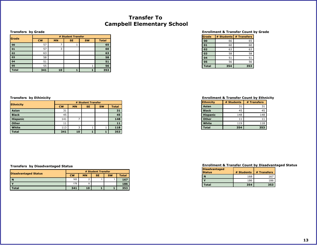## **Transfer To Campbell Elementary School**

#### **Transfers by Grade**

|              | # Student Transfer |           |           |           |              |  |  |
|--------------|--------------------|-----------|-----------|-----------|--------------|--|--|
| Grade        | <b>CW</b>          | <b>MN</b> | <b>SE</b> | <b>SW</b> | <b>Total</b> |  |  |
| 00           | 57                 |           |           |           | 65           |  |  |
| 01           | 57                 | 3         |           |           | 60           |  |  |
| 02           | 63                 |           |           |           | 63           |  |  |
| 03           | 58                 |           |           |           | 58           |  |  |
| 04           | 51                 |           |           |           | 51           |  |  |
| 05           | 55                 |           |           |           | 56           |  |  |
| <b>Total</b> | 341                | 10        |           |           | 353          |  |  |

#### **Enrollment & Transfer Count by Grade**

| Grade        | # Students | # Transfers |
|--------------|------------|-------------|
| 00           | 66         | 65          |
| 01           | 60         | 60          |
| 02           | 63         | 63          |
| 03           | 58         | 58          |
| 04           | 51         | 51          |
| 05           | 56         | 56          |
| <b>Total</b> | 354        | 353         |

#### <span id="page-13-0"></span>**Transfers by Ethinicity Enrollment & Transfer Count by Ethnicity**

| <b>Ethnicity</b> | # Students | # Transfers |
|------------------|------------|-------------|
| Asian            | 31         | 31          |
| <b>Black</b>     | 45         | 45          |
| <b>Hispanic</b>  | 148        | 148         |
| <b>Other</b>     | 11         | 11          |
| White            | 119        | 118         |
| <b>Total</b>     | 354        | 353         |

| Ethnicity       | # Student Transfer |           |           |           |              |
|-----------------|--------------------|-----------|-----------|-----------|--------------|
|                 | <b>CW</b>          | <b>MN</b> | <b>SE</b> | <b>SW</b> | <b>Total</b> |
| Asian           | 31                 |           |           |           | 31           |
| <b>Black</b>    | 45                 |           |           |           | 45           |
| <b>Hispanic</b> | 141                |           |           |           | 148          |
| <b>Other</b>    | 11                 |           |           |           | 11           |
| White           | 113                | 3         |           |           | 118          |
| <b>Total</b>    | 341                | 10        |           |           | 353          |

#### **Transfers by Disadvantaged Status**

|                             | # Student Transfer |           |           |           |              |
|-----------------------------|--------------------|-----------|-----------|-----------|--------------|
| <b>Disadvantaged Status</b> | <b>CW</b>          | <b>MN</b> | <b>SE</b> | <b>SW</b> | <b>Total</b> |
| <b>N</b>                    | 163                |           |           |           | 167          |
|                             | 178                |           |           |           | 186          |
| Total                       | 341                | 10        |           |           | 353          |

| <b>Disadvantaged</b><br><b>Status</b> | # Students | # Transfers |
|---------------------------------------|------------|-------------|
| N                                     | 168        | 167         |
|                                       | 186        | 186         |
| Total                                 | 354        | 353         |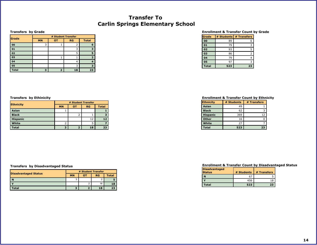## **Transfer To Carlin Springs Elementary School**

#### **Transfers by Grade**

**Ethnicity**

**Asian Black Hispanic White Total**

| Grade        |           | # Student Transfer |    |              |  |
|--------------|-----------|--------------------|----|--------------|--|
|              | <b>MN</b> | <b>OT</b>          | RG | <b>Total</b> |  |
| 00           | 3         |                    |    | 6            |  |
| 01           |           |                    |    | з            |  |
| 02           |           |                    |    | ς            |  |
| 03           |           |                    |    |              |  |
| 04           |           |                    | 4  |              |  |
| 05           |           |                    |    | з            |  |
| <b>Total</b> |           |                    | 18 | 23           |  |

#### **Enrollment & Transfer Count by Grade**

| Grade        | # Students | # Transfers |
|--------------|------------|-------------|
| 00           | 89         | 6           |
| 01           | 79         | 3           |
| 02           | 93         |             |
| 03           | 86         |             |
| 04           | 79         |             |
| 05           | 97         |             |
| <b>Total</b> | 523        | 23          |

#### <span id="page-14-0"></span>**Transfers by Ethinicity Enrollment & Transfer Count by Ethnicity**

| <b>Ethnicity</b> | # Students | # Transfers |
|------------------|------------|-------------|
| Asian            | 49         |             |
| <b>Black</b>     | 62         |             |
| <b>Hispanic</b>  | 369        | 12          |
| <b>Other</b>     | 16         |             |
| White            | 27         |             |
| <b>Total</b>     | 523        | 23          |

#### **Transfers by Disadvantaged Status**

|                             | # Student Transfer |    |           |              |
|-----------------------------|--------------------|----|-----------|--------------|
| <b>Disadvantaged Status</b> | <b>MN</b>          | ΟT | <b>RG</b> | <b>Total</b> |
| N                           | $\sim$<br>u        |    |           |              |
|                             |                    |    | 16        | 18           |
| otal                        |                    |    | 18        | 23           |

**# Student Transfer MN OT RG Total**

> 1 **1** 2 1 **3** 12 **12**

2 | 5 | 7 **3 2 18 23**

| <b>Disadvantaged</b><br><b>Status</b> | # Students | # Transfers |
|---------------------------------------|------------|-------------|
| N                                     |            |             |
|                                       | 456        | 18          |
| Total                                 | 523        | 23          |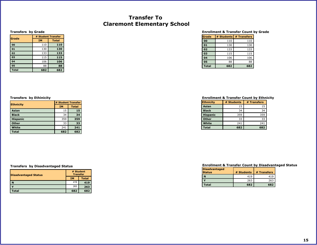## **Transfer To Claremont Elementary School**

#### **Transfers by Grade**

**Ethnicity**

**Asian Black Hispanic Other White Total**

| Grade        |           | # Student Transfer |
|--------------|-----------|--------------------|
|              | <b>IM</b> | <b>Total</b>       |
| 00           | 110       | 110                |
| 01           | 130       | 130                |
| 02           | 133       | 133                |
| 03           | 115       | 115                |
| 04           | 106       | 106                |
| 05           | 88        | 88                 |
| <b>Total</b> | 682       | 682                |

#### **Enrollment & Transfer Count by Grade**

| Grade        | # Students | # Transfers |
|--------------|------------|-------------|
| 00           | 110        | 110         |
| 01           | 130        | 130         |
| 02           | 133        | 133         |
| 03           | 115        | 115         |
| 04           | 106        | 106         |
| 05           | 88         | 88          |
| <b>Total</b> | 682        | 682         |

#### <span id="page-15-0"></span>**Transfers by Ethinicity Enrollment & Transfer Count by Ethnicity**

| <b>Ethnicity</b> | # Students | # Transfers |
|------------------|------------|-------------|
| Asian            | 15         | 15          |
| <b>Black</b>     | 34         | 34          |
| <b>Hispanic</b>  | 359        | 359         |
| Other            | 33         | 33          |
| White            | 241        | 241         |
| <b>Total</b>     | 682        | 682         |

#### **Transfers by Disadvantaged Status**

| <b>Disadvantaged Status</b> | # Student<br><b>Transfer</b> |              |  |
|-----------------------------|------------------------------|--------------|--|
|                             | <b>IM</b>                    | <b>Total</b> |  |
| N                           | 419                          | 419          |  |
|                             | 263                          | 263          |  |
| <b>Total</b>                | 682                          | 682          |  |

**# Student Transfer IM Total**

| <b>Disadvantaged</b><br><b>Status</b> | # Students | # Transfers |
|---------------------------------------|------------|-------------|
|                                       | 419        | 419         |
|                                       | 263        | 263         |
| Total                                 | 682        | 682         |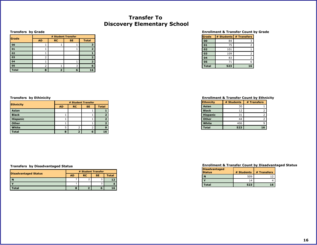## **Transfer To Discovery Elementary School**

#### **Transfers by Grade**

**Ethnicity**

**Asian Black Hispanic Other White Total**

| Grade        | # Student Transfer |           |           |              |  |
|--------------|--------------------|-----------|-----------|--------------|--|
|              | <b>AD</b>          | <b>RC</b> | <b>SE</b> | <b>Total</b> |  |
| 00           |                    |           |           |              |  |
| 01           |                    |           |           |              |  |
| 02           |                    |           |           |              |  |
| 03           | 2                  |           |           |              |  |
| 04           |                    |           |           | 2            |  |
| 05           |                    |           |           | 6            |  |
| <b>Total</b> | 8                  |           | 6         | 16           |  |

#### **Enrollment & Transfer Count by Grade**

| Grade        | # Students | # Transfers |
|--------------|------------|-------------|
| 00           | 84         |             |
| 01           | 75         | 2           |
| 02           | 101        |             |
| 03           | 109        |             |
| 04           | 83         | っ           |
| 05           | 71         | 6           |
| <b>Total</b> | 523        | 16          |

#### <span id="page-16-0"></span>**Transfers by Ethinicity Enrollment & Transfer Count by Ethnicity**

| <b>Ethnicity</b> | # Students | # Transfers |
|------------------|------------|-------------|
| Asian            | 30         |             |
| <b>Black</b>     | 12         |             |
| <b>Hispanic</b>  | 31         |             |
| <b>Other</b>     | 44         |             |
| White            | 406        |             |
| <b>Total</b>     | 523        | 16          |

#### **Transfers by Disadvantaged Status**

|                             | # Student Transfer |           |           |              |  |  |
|-----------------------------|--------------------|-----------|-----------|--------------|--|--|
| <b>Disadvantaged Status</b> | <b>AD</b>          | <b>RC</b> | <b>SE</b> | <b>Total</b> |  |  |
|                             |                    |           |           |              |  |  |
|                             |                    |           | v         |              |  |  |
| otal                        |                    |           | n         |              |  |  |

**# Student Transfer AD RC SE Total**

> 1 1 **2** 1 1 **2** 1 1 **2** 5 2 2 **9 8 2 6 16**

1 **1**

| <b>Disadvantaged</b><br><b>Status</b> | # Students | # Transfers |
|---------------------------------------|------------|-------------|
|                                       | 509        |             |
|                                       | 14         |             |
| Total                                 | 523        | 16          |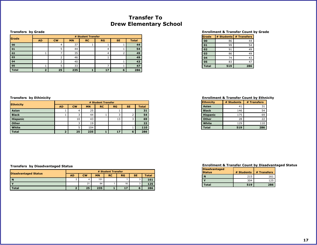## **Transfer To Drew Elementary School**

#### **Transfers by Grade**

| <b>S</b> rade |           | # Student Transfer |           |           |    |           |              |  |
|---------------|-----------|--------------------|-----------|-----------|----|-----------|--------------|--|
|               | <b>AD</b> | <b>CW</b>          | <b>MN</b> | <b>RC</b> | RG | <b>SE</b> | <b>Total</b> |  |
| 00            |           | 4                  | 37        |           |    |           | 44           |  |
| 01            |           |                    | 44        |           | 4  |           | 54           |  |
| 02            |           |                    | 35        |           | 4  |           | 49           |  |
| 03            |           |                    | 46        |           |    |           | 49           |  |
| 04            |           |                    | 40        |           |    |           | 43           |  |
| 05            |           |                    | 33        |           |    |           | 47           |  |
| <b>Total</b>  | ٠         | 25                 | 235       |           | 17 | 6         | 286          |  |

#### **Enrollment & Transfer Count by Grade**

| Grade        | # Students | # Transfers |
|--------------|------------|-------------|
| 00           | 86         | 44          |
| 01           | 99         | 54          |
| 02           | 91         | 49          |
| 03           | 86         | 49          |
| 04           | 74         | 43          |
| 05           | 83         | 47          |
| <b>Total</b> | 519        | 286         |

| <b>Ethnicity</b> |                | # Student Transfer |           |           |                |           |              |  |
|------------------|----------------|--------------------|-----------|-----------|----------------|-----------|--------------|--|
|                  | <b>AD</b>      | <b>CW</b>          | <b>MN</b> | <b>RC</b> | <b>RG</b>      | <b>SE</b> | <b>Total</b> |  |
| Asian            |                | 4                  | 25        |           |                |           | 31           |  |
| <b>Black</b>     |                |                    | 44        |           | $\overline{ }$ |           | 54           |  |
| <b>Hispanic</b>  |                | 10                 | 43        |           | 13             | ∍         | 69           |  |
| Other            |                |                    | 19        |           |                |           | 22           |  |
| White            |                |                    | 104       |           |                |           | 110          |  |
| <b>Total</b>     | $\overline{2}$ | 25                 | 235       |           | 17             | 6         | 286          |  |

#### <span id="page-17-0"></span>**Transfers by Ethinicity Enrollment & Transfer Count by Ethnicity**

| <b>Ethnicity</b> | # Students | # Transfers |
|------------------|------------|-------------|
| Asian            | 41         | 31          |
| <b>Black</b>     | 146        | 54          |
| <b>Hispanic</b>  | 175        | 69          |
| <b>Other</b>     | 28         | 22          |
| White            | 129        | 110         |
| <b>Total</b>     | 519        | 286         |

### **Transfers by Disadvantaged Status**

|                             | # Student Transfer |           |           |           |    |           |              |
|-----------------------------|--------------------|-----------|-----------|-----------|----|-----------|--------------|
| <b>Disadvantaged Status</b> | <b>AD</b>          | <b>CW</b> | <b>MN</b> | <b>RC</b> | RG | <b>SE</b> | <b>Total</b> |
| N                           | $\sqrt{2}$<br>۷    | 4         | 151       |           |    |           | 161          |
|                             |                    | 21        | 84        |           | 16 |           | 125          |
| <b>Total</b>                |                    | 25        | 235       |           | 17 |           | 286          |

| <b>Disadvantaged</b><br><b>Status</b> | # Students | # Transfers |
|---------------------------------------|------------|-------------|
| N                                     | 215        | 161         |
|                                       | 304        | 125         |
| Total                                 | 519        | 286         |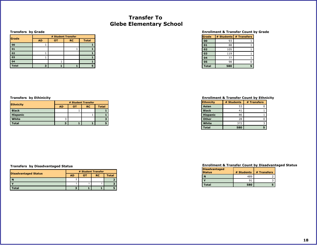## **Transfer To Glebe Elementary School**

#### **Transfers by Grade**

| Grade        | # Student Transfer |           |           |              |  |  |  |  |  |
|--------------|--------------------|-----------|-----------|--------------|--|--|--|--|--|
|              | <b>AD</b>          | <b>OT</b> | <b>RC</b> | <b>Total</b> |  |  |  |  |  |
| 00           |                    |           |           |              |  |  |  |  |  |
| 01           |                    |           |           |              |  |  |  |  |  |
| 02           |                    |           |           |              |  |  |  |  |  |
| 03           |                    |           |           |              |  |  |  |  |  |
| 04           |                    |           |           |              |  |  |  |  |  |
| <b>Total</b> |                    |           |           |              |  |  |  |  |  |

#### **Enrollment & Transfer Count by Grade**

| Grade        | # Students | # Transfers |
|--------------|------------|-------------|
| 00           | 93         |             |
| 01           | 88         |             |
| 02           | 105        |             |
| 03           | 119        |             |
| 04           | 77         |             |
| 05           | 98         |             |
| <b>Total</b> | 580        |             |

| <b>Ethnicity</b> | # Student Transfer |           |           |              |  |  |  |
|------------------|--------------------|-----------|-----------|--------------|--|--|--|
|                  | <b>AD</b>          | <b>OT</b> | <b>RC</b> | <b>Total</b> |  |  |  |
| <b>Black</b>     |                    |           |           |              |  |  |  |
| <b>Hispanic</b>  |                    |           |           |              |  |  |  |
| White            |                    |           |           | з            |  |  |  |
| <b>Total</b>     | з                  |           |           |              |  |  |  |

|                             | # Student Transfer |    |           |              |  |  |  |
|-----------------------------|--------------------|----|-----------|--------------|--|--|--|
| <b>Disadvantaged Status</b> | <b>AD</b>          | דס | <b>RC</b> | <b>Total</b> |  |  |  |
|                             |                    |    |           |              |  |  |  |
|                             |                    |    |           |              |  |  |  |
| <b>otal</b>                 |                    |    |           |              |  |  |  |

#### <span id="page-18-0"></span>**Transfers by Ethinicity Enrollment & Transfer Count by Ethnicity**

| <b>Ethnicity</b> | # Students | # Transfers |
|------------------|------------|-------------|
| Asian            | 53         |             |
| <b>Black</b>     | 41         |             |
| <b>Hispanic</b>  | 86         |             |
| <b>Other</b>     | 28         |             |
| White            | 372        |             |
| <b>Total</b>     | 580        |             |

| <b>Disadvantaged</b><br><b>Status</b> | # Students | # Transfers |
|---------------------------------------|------------|-------------|
|                                       | 489        |             |
|                                       |            |             |
| Total                                 | 580        |             |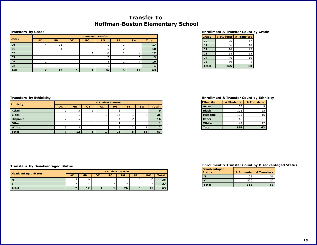## **Transfer To Hoffman-Boston Elementary School**

#### **Transfers by Grade**

| Grade        |           | # Student Transfer |           |           |    |           |           |              |  |  |
|--------------|-----------|--------------------|-----------|-----------|----|-----------|-----------|--------------|--|--|
|              | <b>AD</b> | <b>MN</b>          | <b>OT</b> | <b>RC</b> | RG | <b>SE</b> | <b>SW</b> | <b>Total</b> |  |  |
| 00           |           | 11                 |           |           |    |           |           | 17           |  |  |
| 01           |           |                    |           |           | 6  |           |           | 10           |  |  |
| 02           |           |                    |           |           | 8  |           |           | 12           |  |  |
| 03           |           |                    |           |           |    |           |           | 13           |  |  |
| 04           |           |                    |           |           |    |           | 4         | 10           |  |  |
| 05           |           |                    |           |           |    |           |           |              |  |  |
| <b>Total</b> |           | 12                 |           |           | 26 | 5         | 11        | 63           |  |  |

#### **Enrollment & Transfer Count by Grade**

| Grade        | # Students | # Transfers |
|--------------|------------|-------------|
| 00           | 76         | 17          |
| 01           | 66         | 10          |
| 02           | 70         | 12          |
| 03           | 68         | 13          |
| 04           | 46         | 10          |
| 05           | 39         |             |
| <b>Total</b> | 365        | 63          |

| <b>Ethnicity</b> | # Student Transfer |           |           |           |           |           |           |              |  |  |
|------------------|--------------------|-----------|-----------|-----------|-----------|-----------|-----------|--------------|--|--|
|                  | <b>AD</b>          | <b>MN</b> | <b>OT</b> | <b>RC</b> | <b>RG</b> | <b>SE</b> | <b>SW</b> | <b>Total</b> |  |  |
| Asian            |                    | 3         |           |           |           |           |           |              |  |  |
| <b>Black</b>     |                    |           |           |           | 15        |           |           | 25           |  |  |
| <b>Hispanic</b>  |                    |           |           |           | 4         |           |           | 16           |  |  |
| Other            |                    |           |           |           |           |           |           |              |  |  |
| White            |                    | ∍         |           |           |           |           |           | 12           |  |  |
| <b>Total</b>     |                    | 12        |           |           | 26        | 5         | 11        | 63           |  |  |

#### <span id="page-19-0"></span>**Transfers by Ethinicity Enrollment & Transfer Count by Ethnicity**

| <b>Ethnicity</b> | # Students | # Transfers |
|------------------|------------|-------------|
| Asian            | 80         | q           |
| <b>Black</b>     | 122        | 25          |
| <b>Hispanic</b>  | 105        | 16          |
| <b>Other</b>     | 16         |             |
| White            | 42         | 12          |
| <b>Total</b>     | 365        | 63          |

#### **Transfers by Disadvantaged Status**

| <b>Disadvantaged Status</b> | # Student Transfer |           |    |           |           |           |           |              |  |  |
|-----------------------------|--------------------|-----------|----|-----------|-----------|-----------|-----------|--------------|--|--|
|                             | <b>AD</b>          | <b>MN</b> | ΟТ | <b>RC</b> | <b>RG</b> | <b>SE</b> | <b>SW</b> | <b>Total</b> |  |  |
| N                           |                    |           |    |           | 11        |           | 10        | 36           |  |  |
|                             | $\sim$<br>ັ        |           |    |           | 15        |           |           | 27           |  |  |
| <b>Total</b>                |                    | 12        |    |           | 26        |           | 11        | 63           |  |  |

| <b>Disadvantaged</b><br><b>Status</b> | # Students | # Transfers |
|---------------------------------------|------------|-------------|
|                                       | 135        | 36          |
|                                       | 230        |             |
| Total                                 | 365        | 63          |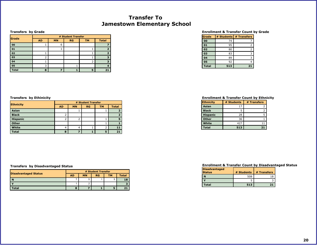## **Transfer To Jamestown Elementary School**

#### **Transfers by Grade**

| Grade        | # Student Transfer |           |           |           |              |
|--------------|--------------------|-----------|-----------|-----------|--------------|
|              | <b>AD</b>          | <b>MN</b> | <b>RG</b> | <b>TM</b> | <b>Total</b> |
| 00           |                    | 6         |           |           |              |
| 01           |                    |           |           |           |              |
| 02           |                    |           |           |           |              |
| 03           |                    |           |           |           |              |
| 04           |                    |           |           |           |              |
| 05           |                    |           |           |           |              |
| <b>Total</b> | 8                  |           |           |           | 21           |

#### **Enrollment & Transfer Count by Grade**

| Grade        | # Students | # Transfers |
|--------------|------------|-------------|
| 00           | 74         |             |
| 01           | 95         | 2           |
| 02           | 80         |             |
| 03           | 83         |             |
| 04           | 89         |             |
| 05           | 92         |             |
| <b>Total</b> | 513        | 21          |

### <span id="page-20-0"></span>**Transfers by Ethinicity Enrollment & Transfer Count by Ethnicity**

| <b>Ethnicity</b> | # Students | # Transfers |
|------------------|------------|-------------|
| Asian            | 17         |             |
| <b>Black</b>     |            |             |
| <b>Hispanic</b>  | 28         |             |
| <b>Other</b>     | 36         |             |
| White            | 427        |             |
| <b>Total</b>     | 513        | 21          |

#### **Enrollment & Transfer Count by Disadvantaged Status**

| <b>Disadvantaged</b><br><b>Status</b> | # Students | # Transfers |
|---------------------------------------|------------|-------------|
|                                       | 508        | א ו         |
|                                       |            |             |
| Total                                 | 513        | 21          |

|                  | # Student Transfer |           |    |                |              |  |  |
|------------------|--------------------|-----------|----|----------------|--------------|--|--|
| <b>Ethnicity</b> | <b>AD</b>          | <b>MN</b> | RG | <b>TM</b>      | <b>Total</b> |  |  |
| Asian            |                    |           |    |                |              |  |  |
| <b>Black</b>     |                    |           |    |                |              |  |  |
| <b>Hispanic</b>  |                    | 2         |    |                |              |  |  |
| Other            |                    |           |    |                |              |  |  |
| White            | 4                  | 4         |    | $\overline{2}$ |              |  |  |
| <b>Total</b>     | 8                  |           |    | 5              |              |  |  |

|                             | # Student Transfer |           |           |           |              |  |  |
|-----------------------------|--------------------|-----------|-----------|-----------|--------------|--|--|
| <b>Disadvantaged Status</b> | <b>AD</b>          | <b>MN</b> | <b>RG</b> | <b>TM</b> | <b>Total</b> |  |  |
| $\mathbf N$                 |                    |           |           |           | 18           |  |  |
|                             |                    |           |           |           |              |  |  |
| Total                       |                    |           |           |           |              |  |  |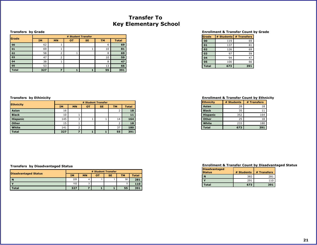## **Transfer To Key Elementary School**

#### **Transfers by Grade**

| <b>Scrade</b> |           | # Student Transfer |           |           |           |              |  |
|---------------|-----------|--------------------|-----------|-----------|-----------|--------------|--|
|               | <b>IM</b> | <b>MN</b>          | <b>OT</b> | <b>SE</b> | <b>TM</b> | <b>Total</b> |  |
| 00            | 62        |                    |           |           | 6         | 69           |  |
| 01            | 69        |                    |           |           | 10        | 81           |  |
| 02            | 58        |                    |           |           | 8         | 69           |  |
| 03            | 47        |                    |           |           | 10        | 59           |  |
| 04            | 38        |                    |           |           | 8         | 47           |  |
| 05            | 53        |                    |           |           | 13        | 66           |  |
| <b>Total</b>  | 327       |                    |           |           | 55        | 391          |  |

#### **Enrollment & Transfer Count by Grade**

| Grade        |     | # Students # Transfers |
|--------------|-----|------------------------|
| 00           | 119 | 69                     |
| 01           | 137 | 81                     |
| 02           | 126 | 69                     |
| 03           | 97  | 59                     |
| 04           | 94  | 47                     |
| 05           | 100 | 66                     |
| <b>Total</b> | 673 | 391                    |

#### <span id="page-21-0"></span>**Transfers by Ethinicity Enrollment & Transfer Count by Ethnicity**

| <b>Ethnicity</b> | # Students | # Transfers |
|------------------|------------|-------------|
| Asian            | 28         | 18          |
| <b>Black</b>     | 35         | 11          |
| <b>Hispanic</b>  | 352        | 164         |
| <b>Other</b>     | 25         | 18          |
| White            | 233        | 180         |
| <b>Total</b>     | 673        | 391         |

|                 | # Student Transfer |           |           |     |           |              |  |
|-----------------|--------------------|-----------|-----------|-----|-----------|--------------|--|
| Ethnicity       | <b>IM</b>          | <b>MN</b> | <b>OT</b> | SE. | <b>TM</b> | <b>Total</b> |  |
| Asian           | 16                 |           |           |     |           | 18           |  |
| <b>Black</b>    | 10                 |           |           |     |           | 11           |  |
| <b>Hispanic</b> | 145                | 3         |           |     | 14        | 164          |  |
| <b>Other</b>    | 15                 |           |           |     |           | 18           |  |
| White           | 141                |           |           |     | 37        | 180          |  |
| <b>Total</b>    | 327                |           |           |     | 55        | 391          |  |

### **Transfers by Disadvantaged Status**

|                             | # Student Transfer |           |    |           |           |              |
|-----------------------------|--------------------|-----------|----|-----------|-----------|--------------|
| <b>Disadvantaged Status</b> | IΜ                 | <b>MN</b> | OТ | <b>SE</b> | <b>TM</b> | <b>Total</b> |
| N                           | 225                |           |    |           | 50        | 281          |
|                             | 102                | っ         |    |           | 5         | 110          |
| <b>Total</b>                | 327                |           |    |           | 55        | 391          |

| <b>Disadvantaged</b><br><b>Status</b> | # Students | # Transfers |
|---------------------------------------|------------|-------------|
|                                       | 382        | 281         |
|                                       | 291        | 110         |
| Total                                 | 673        | 391         |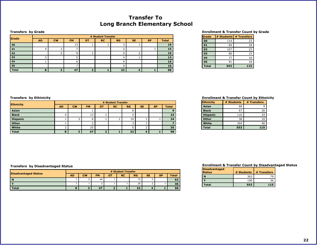## **Transfer To Long Branch Elementary School**

#### **Transfers by Grade**

|              |           | # Student Transfer |           |    |           |           |           |           |              |
|--------------|-----------|--------------------|-----------|----|-----------|-----------|-----------|-----------|--------------|
| Grade        | <b>AD</b> | <b>CW</b>          | <b>FM</b> | OТ | <b>RC</b> | <b>RG</b> | <b>SE</b> | <b>SP</b> | <b>Total</b> |
| 00           |           |                    | 13        |    |           |           |           |           | 19           |
| 01           |           |                    |           |    |           |           |           |           | <b>15</b>    |
| 02           |           |                    |           |    |           |           |           |           | 19           |
| 03           |           |                    |           |    |           | ப         |           |           | 13           |
| 04           |           |                    |           |    |           |           |           |           | 16           |
| 05           |           |                    |           |    |           |           |           |           | 16           |
| <b>Total</b> | c         |                    | 47        |    |           | 32        |           |           | 98           |

#### **Enrollment & Transfer Count by Grade**

| Grade        |     | # Students   # Transfers |
|--------------|-----|--------------------------|
| 00           | 114 | 23                       |
| 01           | 84  | 18                       |
| 02           | 107 | 23                       |
| 03           | 80  | 15                       |
| 04           | 77  | 18                       |
| 05           | 91  | 18                       |
| <b>Total</b> | 553 | 115                      |

|                  | # Student Transfer |           |           |           |           |    |           |           |              |
|------------------|--------------------|-----------|-----------|-----------|-----------|----|-----------|-----------|--------------|
| <b>Ethnicity</b> | <b>AD</b>          | <b>CW</b> | <b>FM</b> | <b>OT</b> | <b>RC</b> | RG | <b>SE</b> | <b>SP</b> | <b>Total</b> |
| Asian            |                    |           |           |           |           | Õ  |           |           |              |
| <b>Black</b>     |                    |           | 13        |           |           |    |           |           | 23           |
| <b>Hispanic</b>  |                    |           | h         |           |           | 10 |           |           | 24           |
| Other            |                    |           |           |           |           |    |           |           |              |
| White            |                    |           | 25        |           |           |    |           |           | 35           |
| <b>Total</b>     | 8                  |           | 47        |           |           | 32 |           |           | 98           |

#### <span id="page-22-0"></span>**Transfers by Ethinicity Enrollment & Transfer Count by Ethnicity**

| <b>Ethnicity</b> | # Students | # Transfers |
|------------------|------------|-------------|
| Asian            | 68         |             |
| <b>Black</b>     | 67         | 26          |
| <b>Hispanic</b>  | 116        | 24          |
| <b>Other</b>     | 38         | 10          |
| White            | 264        | 46          |
| <b>Total</b>     | 553        | 115         |

#### **Transfers by Disadvantaged Status**

|                             | # Student Transfer |           |                   |           |           |    |                    |           |              |
|-----------------------------|--------------------|-----------|-------------------|-----------|-----------|----|--------------------|-----------|--------------|
| <b>Disadvantaged Status</b> | <b>AD</b>          | <b>CW</b> | <b>FM</b>         | <b>OT</b> | <b>RC</b> | RG | <b>SE</b>          | <b>SP</b> | <b>Total</b> |
| -N                          |                    |           | 44                |           |           | 12 | $\sim$<br><u>.</u> |           | 62           |
|                             |                    |           | $\sim$<br>$\cdot$ |           |           | 20 | $\sim$<br><u>.</u> |           | 36           |
| <b>Total</b>                |                    | n.        | 47                |           |           | 32 |                    |           | 98           |

| <b>Disadvantaged</b><br><b>Status</b> | # Students | # Transfers |
|---------------------------------------|------------|-------------|
|                                       | 363        |             |
|                                       | 190        | 36          |
| Total                                 | 553        | 115         |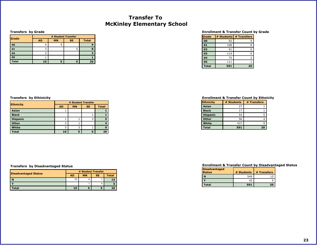## **Transfer To McKinley Elementary School**

#### **Transfers by Grade**

|              |           | # Student Transfer |           |              |  |  |  |  |  |  |  |  |
|--------------|-----------|--------------------|-----------|--------------|--|--|--|--|--|--|--|--|
| Grade        | <b>AD</b> | <b>MN</b>          | <b>SE</b> | <b>Total</b> |  |  |  |  |  |  |  |  |
| 00           |           |                    |           |              |  |  |  |  |  |  |  |  |
| 01           |           |                    |           |              |  |  |  |  |  |  |  |  |
| 04           |           |                    |           |              |  |  |  |  |  |  |  |  |
| 05           |           |                    |           |              |  |  |  |  |  |  |  |  |
| <b>Total</b> | 10        |                    |           | 20           |  |  |  |  |  |  |  |  |

#### **Enrollment & Transfer Count by Grade**

| Grade        | # Students | # Transfers |
|--------------|------------|-------------|
| 00           | 92         | q           |
| 01           | 108        | 8           |
| 02           | 91         | O           |
| 03           | 114        | ი           |
| 04           | 75         | フ           |
| 05           | 111        |             |
| <b>Total</b> | 591        | 20          |

| <b>Ethnicity</b> | # Student Transfer |           |           |              |  |  |
|------------------|--------------------|-----------|-----------|--------------|--|--|
|                  | <b>AD</b>          | <b>MN</b> | <b>SE</b> | <b>Total</b> |  |  |
| Asian            |                    |           |           |              |  |  |
| <b>Black</b>     |                    |           |           |              |  |  |
| <b>Hispanic</b>  |                    |           | 3         |              |  |  |
| <b>Other</b>     | 3                  |           |           |              |  |  |
| White            | 5                  | 3         |           | n            |  |  |
| <b>Total</b>     | 10                 | 5         | 5         | 20           |  |  |

#### **Transfers by Disadvantaged Status**

|                             | # Student Transfer |           |           |       |  |
|-----------------------------|--------------------|-----------|-----------|-------|--|
| <b>Disadvantaged Status</b> | <b>AD</b>          | <b>MN</b> | <b>SE</b> | Total |  |
| N                           | 10                 |           |           | 15    |  |
|                             |                    |           |           |       |  |
| <b>Fotal</b>                | 10                 |           |           | 20    |  |

#### <span id="page-23-0"></span>**Transfers by Ethinicity Enrollment & Transfer Count by Ethnicity**

| <b>Ethnicity</b> | # Students | # Transfers |
|------------------|------------|-------------|
| Asian            | 27         |             |
| <b>Black</b>     | 17         |             |
| <b>Hispanic</b>  | 54         |             |
| <b>Other</b>     | 56         |             |
| White            | 437        |             |
| <b>Total</b>     | 591        | 20          |

| <b>Disadvantaged</b><br><b>Status</b> | # Students | # Transfers |
|---------------------------------------|------------|-------------|
|                                       | 549        |             |
|                                       |            |             |
| Total                                 | 591        | 20          |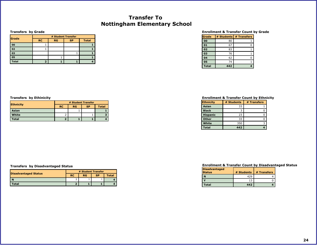## **Transfer To Nottingham Elementary School**

#### **Transfers by Grade**

|              | # Student Transfer |                 |  |              |
|--------------|--------------------|-----------------|--|--------------|
| Grade        | <b>RC</b>          | RG<br><b>SP</b> |  | <b>Total</b> |
| 00           |                    |                 |  |              |
| 02           |                    |                 |  |              |
| 03           |                    |                 |  |              |
| 05           |                    |                 |  |              |
| <b>Total</b> |                    |                 |  |              |

#### **Enrollment & Transfer Count by Grade**

| Grade        | # Students | # Transfers |
|--------------|------------|-------------|
| 00           | 80         |             |
| 01           | 67         |             |
| 02           | 83         |             |
| 03           | 76         |             |
| 04           | 62         |             |
| 05           | 74         |             |
| <b>Total</b> | 442        |             |

|                  | # Student Transfer |           |           |              |  |
|------------------|--------------------|-----------|-----------|--------------|--|
| <b>Ethnicity</b> | <b>RC</b>          | <b>RG</b> | <b>SP</b> | <b>Total</b> |  |
| Asian            |                    |           |           |              |  |
| White            |                    |           |           |              |  |
| <b>Total</b>     |                    |           |           |              |  |

#### <span id="page-24-0"></span>**Transfers by Ethinicity Enrollment & Transfer Count by Ethnicity**

| Ethnicity       | # Students | # Transfers |
|-----------------|------------|-------------|
| Asian           | 33         |             |
| <b>Black</b>    |            |             |
| <b>Hispanic</b> | 23         |             |
| <b>Other</b>    | 33         |             |
| White           | 350        |             |
| <b>Total</b>    | 442        |             |

#### **Enrollment & Transfer Count by Disadvantaged Status**

| <b>Disadvantaged</b><br><b>Status</b> | # Students | # Transfers |
|---------------------------------------|------------|-------------|
| N                                     | 429        |             |
|                                       |            |             |
| Total                                 | 442        |             |

|                             | # Student Transfer |         |           |       |
|-----------------------------|--------------------|---------|-----------|-------|
| <b>Disadvantaged Status</b> | <b>RC</b>          | $_{RG}$ | <b>SP</b> | Total |
| N                           | ∼                  |         |           |       |
| <b>otal</b>                 |                    |         |           |       |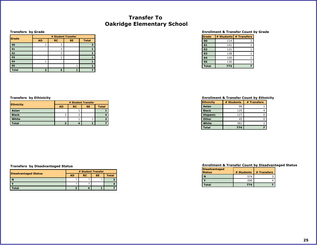## **Transfer To Oakridge Elementary School**

#### **Transfers by Grade**

**Ethnicity**

**Asian Black White Total**

| Grade        | # Student Transfer |           |           |              |
|--------------|--------------------|-----------|-----------|--------------|
|              | <b>AD</b>          | <b>RC</b> | <b>SE</b> | <b>Total</b> |
| 00           |                    |           |           |              |
| 01           |                    |           |           |              |
| 02           |                    |           |           |              |
| 03           |                    |           |           |              |
| 04           |                    |           |           |              |
| 05           |                    |           |           |              |
| <b>Total</b> |                    |           |           |              |

#### **Enrollment & Transfer Count by Grade**

| Grade        | # Students | # Transfers |
|--------------|------------|-------------|
| 00           | 114        |             |
| 01           | 141        |             |
| 02           | 131        |             |
| 03           | 138        |             |
| 04           | 120        |             |
| 05           | 130        |             |
| <b>Total</b> | 774        |             |

#### <span id="page-25-0"></span>**Transfers by Ethinicity Enrollment & Transfer Count by Ethnicity**

| <b>Ethnicity</b> | # Students | # Transfers |
|------------------|------------|-------------|
| Asian            | 96         |             |
| <b>Black</b>     | 125        |             |
| <b>Hispanic</b>  | 127        |             |
| Other            | 45         |             |
| White            | 381        |             |
| <b>Total</b>     | 774        |             |

#### **Transfers by Disadvantaged Status**

|                             | # Student Transfer |           |           |       |
|-----------------------------|--------------------|-----------|-----------|-------|
| <b>Disadvantaged Status</b> | <b>AD</b>          | <b>RC</b> | <b>SE</b> | Total |
|                             |                    |           |           |       |
|                             |                    |           |           |       |
| 'otal                       |                    |           |           |       |

**# Student Transfer AD RC SE Total**

> 1 **1** 2 | 2 | 4 1 1 **2 2 4 1 7**

| <b>Disadvantaged</b><br><b>Status</b> | # Students | # Transfers |
|---------------------------------------|------------|-------------|
| N                                     | 574        |             |
|                                       | 200        |             |
| Total                                 | 774        |             |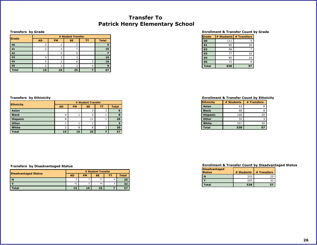## **Transfer To Patrick Henry Elementary School**

#### **Transfers by Grade**

| Grade        | # Student Transfer |           |           |    |              |  |  |  |  |
|--------------|--------------------|-----------|-----------|----|--------------|--|--|--|--|
|              | <b>AD</b>          | <b>FM</b> | <b>SE</b> | тт | <b>Total</b> |  |  |  |  |
| 00           |                    |           |           |    |              |  |  |  |  |
| 01           |                    |           |           |    | 10           |  |  |  |  |
| 02           |                    |           | 5         |    |              |  |  |  |  |
| 03           | 4                  |           |           |    | 10           |  |  |  |  |
| 04           |                    |           | 6         |    | 16           |  |  |  |  |
| 05           |                    |           |           |    | q            |  |  |  |  |
| <b>Total</b> | 15                 | 10        | 25        |    | 57           |  |  |  |  |

#### **Enrollment & Transfer Count by Grade**

| Grade        | # Students | # Transfers |
|--------------|------------|-------------|
| 00           | 111        | ς           |
| 01           | 95         | 10          |
| 02           | 98         |             |
| 03           | 77         | 10          |
| 04           | 85         | 16          |
| 05           | 72         |             |
| <b>Total</b> | 538        |             |

#### <span id="page-26-0"></span>**Transfers by Ethinicity Enrollment & Transfer Count by Ethnicity**

| <b>Ethnicity</b> | # Students | # Transfers |
|------------------|------------|-------------|
| Asian            | 63         |             |
| <b>Black</b>     | 68         |             |
| <b>Hispanic</b>  | 168        | 20          |
| <b>Other</b>     | 32         |             |
| White            | 207        | 20          |
| <b>Total</b>     | 538        | 57          |

#### **Enrollment & Transfer Count by Disadvantaged Status**

| <b>Disadvantaged</b><br><b>Status</b> | # Students | # Transfers |
|---------------------------------------|------------|-------------|
|                                       | 333        | 25          |
|                                       | 205        |             |
| Total                                 | 538        | 57          |

|                 | # Student Transfer |           |           |    |              |  |  |  |
|-----------------|--------------------|-----------|-----------|----|--------------|--|--|--|
| Ethnicity       | <b>AD</b>          | <b>FM</b> | <b>SE</b> | тт | <b>Total</b> |  |  |  |
| Asian           |                    |           |           |    | 6            |  |  |  |
| <b>Black</b>    | 4                  |           |           |    | 8            |  |  |  |
| <b>Hispanic</b> | 8                  |           | 11        |    | 20           |  |  |  |
| Other           |                    |           |           |    |              |  |  |  |
| White           |                    | 8         | 8         |    | 20           |  |  |  |
| <b>Total</b>    | 15                 | 10        | 25        |    | 57           |  |  |  |

|                             | # Student Transfer |           |           |   |              |  |  |
|-----------------------------|--------------------|-----------|-----------|---|--------------|--|--|
| <b>Disadvantaged Status</b> | <b>AD</b>          | <b>FM</b> | <b>SE</b> | г | <b>Total</b> |  |  |
| l N                         | $\sim$             |           |           |   | 25           |  |  |
|                             | 12                 |           | 14        |   | 32           |  |  |
| 'otal                       | 15                 | 10        | 25        |   |              |  |  |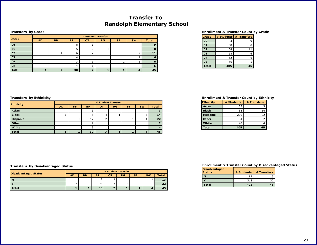## **Transfer To Randolph Elementary School**

#### **Transfers by Grade**

|                           | # Student Transfer |           |           |           |    |           |           |              |
|---------------------------|--------------------|-----------|-----------|-----------|----|-----------|-----------|--------------|
| <b>Grade</b><br><b>AD</b> |                    | <b>BB</b> | <b>BR</b> | <b>OT</b> | RG | <b>SE</b> | <b>SW</b> | <b>Total</b> |
| 00                        |                    |           | o         |           |    |           |           | 9            |
| 01                        |                    |           |           |           |    |           |           | 8            |
| 02                        |                    |           | b         |           |    |           |           | 11           |
| 03                        |                    |           | $\Delta$  |           |    |           |           | 6            |
| 04                        |                    |           |           |           |    |           |           | 6            |
| 05                        |                    |           | 4         |           |    |           |           |              |
| <b>Total</b>              |                    |           | 30        |           |    |           |           | 45           |

#### **Enrollment & Transfer Count by Grade**

| Grade        | # Students | # Transfers |
|--------------|------------|-------------|
| 00           | 83         |             |
| 01           | 68         | 8           |
| 02           | 58         | 11          |
| 03           | 68         | 6           |
| 04           | 62         | 6           |
| 05           | 66         |             |
| <b>Total</b> | 405        | 45          |

|                  | # Student Transfer |           |           |           |           |           |           |              |  |
|------------------|--------------------|-----------|-----------|-----------|-----------|-----------|-----------|--------------|--|
| <b>Ethnicity</b> | <b>AD</b>          | <b>BB</b> | <b>BR</b> | <b>OT</b> | <b>RG</b> | <b>SE</b> | <b>SW</b> | <b>Total</b> |  |
| Asian            |                    |           |           |           |           |           |           |              |  |
| <b>Black</b>     |                    |           |           | 4         |           |           |           | 14           |  |
| <b>Hispanic</b>  |                    |           | 17        |           |           |           |           | 22           |  |
| Other            |                    |           |           |           |           |           |           |              |  |
| White            |                    |           |           |           |           |           |           |              |  |
| <b>Total</b>     |                    |           | 30        |           |           |           |           | 45           |  |

#### <span id="page-27-0"></span>**Transfers by Ethinicity Enrollment & Transfer Count by Ethnicity**

| <b>Ethnicity</b> | # Students | # Transfers |
|------------------|------------|-------------|
| Asian            | 53         |             |
| <b>Black</b>     | 88         | 14          |
| <b>Hispanic</b>  | 220        | 22          |
| <b>Other</b>     |            |             |
| White            | 40         |             |
| <b>Total</b>     | 405        | 45          |

### **Transfers by Disadvantaged Status**

|                             | # Student Transfer |    |           |    |           |           |           |              |
|-----------------------------|--------------------|----|-----------|----|-----------|-----------|-----------|--------------|
| <b>Disadvantaged Status</b> | AD.                | BB | <b>BR</b> | OT | <b>RG</b> | <b>SE</b> | <b>SW</b> | <b>Total</b> |
| .n                          |                    |    |           |    |           |           |           | 13           |
|                             |                    |    | 23        |    |           |           |           | 32           |
| <b>Total</b>                |                    |    | 30        |    |           |           |           |              |

| <b>Disadvantaged</b><br><b>Status</b> | # Students | # Transfers |
|---------------------------------------|------------|-------------|
|                                       |            | 13          |
|                                       | 318        | 32          |
| <b>Total</b>                          | 405        |             |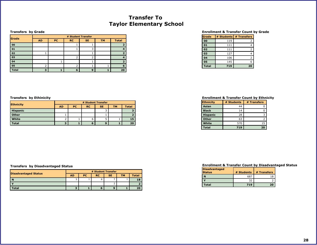## **Transfer To Taylor Elementary School**

#### **Transfers by Grade**

| Grade        | # Student Transfer |           |           |     |           |              |  |
|--------------|--------------------|-----------|-----------|-----|-----------|--------------|--|
|              | <b>AD</b>          | <b>PC</b> | <b>RC</b> | SE. | <b>TM</b> | <b>Total</b> |  |
| 00           |                    |           |           |     |           |              |  |
| 01           |                    |           |           |     |           |              |  |
| 02           |                    |           |           |     |           |              |  |
| 03           |                    |           |           |     |           |              |  |
| 04           |                    |           |           |     |           |              |  |
| 05           |                    |           |           |     |           | 6            |  |
| <b>Total</b> |                    |           | 6         | q   |           | 20           |  |

### **Enrollment & Transfer Count by Grade**

| Grade        | # Students | # Transfers |
|--------------|------------|-------------|
| 00           | 119        |             |
| 01           | 111        |             |
| 02           | 111        |             |
| 03           | 127        |             |
| 04           | 106        | 2           |
| 05           | 145        |             |
| <b>Total</b> | 719        | 20          |

| <b>Ethnicity</b> | # Student Transfer |           |           |           |           |              |  |  |
|------------------|--------------------|-----------|-----------|-----------|-----------|--------------|--|--|
|                  | <b>AD</b>          | <b>PC</b> | <b>RC</b> | <b>SE</b> | <b>TM</b> | <b>Total</b> |  |  |
| <b>Hispanic</b>  |                    |           |           |           |           |              |  |  |
| Other            |                    |           |           |           |           |              |  |  |
| White            |                    |           | b         |           |           | 15           |  |  |
| <b>Total</b>     | з                  |           | b         | 9         |           | 20           |  |  |

#### <span id="page-28-0"></span>**Transfers by Ethinicity Enrollment & Transfer Count by Ethnicity**

| <b>Ethnicity</b> | # Students | # Transfers |
|------------------|------------|-------------|
| Asian            | 44         |             |
| <b>Black</b>     | 14         |             |
| <b>Hispanic</b>  | 28         |             |
| <b>Other</b>     | 63         |             |
| White            | 570        | 15          |
| <b>Total</b>     | 719        | 20          |

### **Transfers by Disadvantaged Status**

|                             | # Student Transfer |           |           |           |           |              |  |
|-----------------------------|--------------------|-----------|-----------|-----------|-----------|--------------|--|
| <b>Disadvantaged Status</b> | <b>AD</b>          | <b>PC</b> | <b>RC</b> | <b>SE</b> | <b>TM</b> | <b>Total</b> |  |
| N                           | ົ<br>ີ             |           | 6         |           |           |              |  |
|                             |                    |           |           |           |           |              |  |
| <b>Total</b>                |                    |           | Ð         |           |           | 20           |  |

| <b>Disadvantaged</b><br><b>Status</b> | # Students | # Transfers |
|---------------------------------------|------------|-------------|
|                                       | 68.        | 18          |
|                                       | 32         |             |
| Total                                 | 719        | 20          |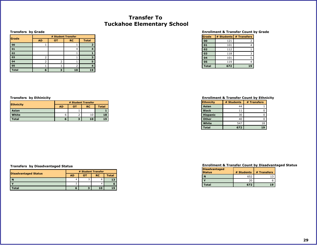## **Transfer To Tuckahoe Elementary School**

#### **Transfers by Grade**

**Ethnicity**

**Asian White Total**

| Grade        | # Student Transfer |           |           |              |  |  |
|--------------|--------------------|-----------|-----------|--------------|--|--|
|              | <b>AD</b>          | <b>OT</b> | <b>RC</b> | <b>Total</b> |  |  |
| 00           |                    |           |           | 2            |  |  |
| 01           |                    |           | 4         |              |  |  |
| 02           |                    |           |           |              |  |  |
| 03           | 2                  |           |           | з            |  |  |
| 04           | 2                  | 2         |           | 5            |  |  |
| 05           |                    |           |           |              |  |  |
| <b>Total</b> | 6                  |           | 10        | 19           |  |  |

#### **Enrollment & Transfer Count by Grade**

| Grade        | # Students | # Transfers |
|--------------|------------|-------------|
| 00           | 121        |             |
| 01           | 101        |             |
| 02           | 112        |             |
| 03           | 118        |             |
| 04           | 101        | 5           |
| 05           | 119        |             |
| <b>Total</b> | 672        | 19          |

#### <span id="page-29-0"></span>**Transfers by Ethinicity Enrollment & Transfer Count by Ethnicity**

| <b>Ethnicity</b> | # Students | # Transfers |
|------------------|------------|-------------|
| Asian            | 44         |             |
| <b>Black</b>     | 11         |             |
| <b>Hispanic</b>  | 30         |             |
| Other            | 40         |             |
| White            | 547        | 18          |
| <b>Total</b>     | 672        | 19          |

#### **Transfers by Disadvantaged Status**

| <b>Disadvantaged Status</b> | # Student Transfer |        |           |       |  |
|-----------------------------|--------------------|--------|-----------|-------|--|
|                             | <b>AD</b>          | O1     | <b>RC</b> | Total |  |
|                             |                    | $\sim$ | 6         |       |  |
|                             | ے                  |        |           |       |  |
| otal                        | о                  |        | 10        |       |  |

**# Student Transfer AD OT RC Total**

> 1 **1** 6 2 10 **18 6 3 10 19**

| <b>Disadvantaged</b><br><b>Status</b> | # Students | # Transfers |
|---------------------------------------|------------|-------------|
| N                                     | -652       |             |
|                                       | 20         |             |
| Total                                 | 672        |             |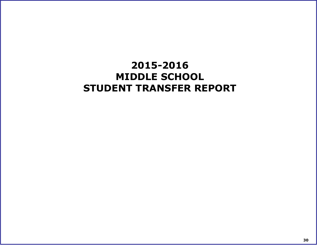# <span id="page-30-0"></span>**2015-2016 MIDDLE SCHOOL STUDENT TRANSFER REPORT**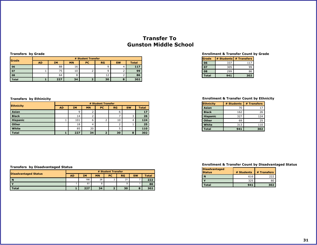## **Transfer To Gunston Middle School**

### **Transfers by Grade**

| lGrade       | # Student Transfer |     |           |           |                |                 |              |
|--------------|--------------------|-----|-----------|-----------|----------------|-----------------|--------------|
|              | <b>AD</b>          | IΜ  | <b>MN</b> | <b>PC</b> | <b>RG</b>      | <b>SW</b>       | <b>Total</b> |
| 06           |                    | 88  | 16        |           | a              | 4               | 117          |
| 07           |                    | 75  | 10        |           |                |                 | 99           |
| 08           |                    | 64  | 8         |           | $\overline{ }$ |                 | 86           |
| <b>Total</b> |                    | 227 | 34        |           | 30             | $\epsilon$<br>ъ | 302          |

| <b>Ethnicity</b> |           | # Student Transfer |           |                |           |           |              |  |
|------------------|-----------|--------------------|-----------|----------------|-----------|-----------|--------------|--|
|                  | <b>AD</b> | <b>IM</b>          | <b>MN</b> | <b>PC</b>      | <b>RG</b> | <b>SW</b> | <b>Total</b> |  |
| Asian            |           | 9                  |           |                | 6         |           | 17           |  |
| <b>Black</b>     |           | 14                 |           |                |           |           | 26           |  |
| <b>Hispanic</b>  |           | 101                | 6         |                | 10        | 4         | 124          |  |
| Other            |           | 18                 |           |                |           |           | 25           |  |
| White            |           | 85                 | 20        |                |           |           | 110          |  |
| <b>Total</b>     |           | 227                | 34        | $\overline{2}$ | 30        | 8         | 302          |  |

#### **Enrollment & Transfer Count by Grade**

| Grade        |     | # Students # Transfers |
|--------------|-----|------------------------|
| 06           | 337 | 117                    |
| 07           | 305 |                        |
| 08           | 299 | 86                     |
| <b>Total</b> | 941 | 302                    |

### <span id="page-31-0"></span>**Transfers by Ethinicity Enrollment & Transfer Count by Ethnicity**

| <b>Ethnicity</b> | # Students | # Transfers |
|------------------|------------|-------------|
| Asian            | 70         | 17          |
| <b>Black</b>     | 162        | 26          |
| <b>Hispanic</b>  | 327        | 124         |
| <b>Other</b>     | 69         | 25          |
| <b>White</b>     | 313        | 110         |
| <b>Total</b>     | 941        | 302         |

#### **Transfers by Disadvantaged Status**

|                             | # Student Transfer |           |           |           |           |           |              |
|-----------------------------|--------------------|-----------|-----------|-----------|-----------|-----------|--------------|
| <b>Disadvantaged Status</b> | <b>AD</b>          | <b>IM</b> | <b>MN</b> | <b>PC</b> | <b>RG</b> | <b>SW</b> | <b>Total</b> |
| $\mathbf N$                 |                    | 166       | 26        |           | 21        |           | 222          |
|                             |                    | 61        |           |           | 9         |           | 80           |
| <b>Total</b>                |                    | 227       | 34        |           | 30        | c         | 302          |

| <b>Disadvantaged</b><br><b>Status</b> | # Students | # Transfers |
|---------------------------------------|------------|-------------|
|                                       | 616        | 222         |
|                                       | 325        | 80          |
| Total                                 | 941        | 302         |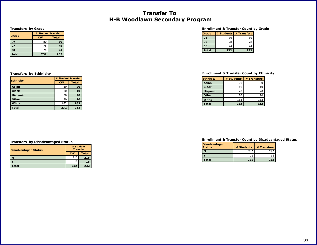## **Transfer To H-B Woodlawn Secondary Program**

#### **Transfers by Grade**

|               | # Student Transfer |              |  |
|---------------|--------------------|--------------|--|
| <b>Scrade</b> | <b>CW</b>          | <b>Total</b> |  |
| 06            | 80                 | 80           |  |
| 07            | 78                 | 78           |  |
| 08            | 74                 | 74           |  |
| <b>Total</b>  | 232                | 232          |  |

### **Enrollment & Transfer Count by Grade**

| <b>Scrade</b> |     | # Students # Transfers |
|---------------|-----|------------------------|
| 06            | 80  | 80                     |
| 07            | 78  | 78                     |
| 08            | 74  | 74                     |
| <b>Total</b>  | 232 | 232                    |

|                  | # Student Transfer |              |  |
|------------------|--------------------|--------------|--|
| <b>Ethnicity</b> | <b>CW</b>          | <b>Total</b> |  |
| Asian            | 20                 | 20           |  |
| <b>Black</b>     | 10                 | 10           |  |
| <b>Hispanic</b>  | 20                 | 20           |  |
| <b>Other</b>     | 20                 | 20           |  |
| White            | 162                | 162          |  |
| Total            | 232                | 232          |  |

#### **Transfers by Disadvantaged Status**

| <b>Disadvantaged Status</b> | # Student<br><b>Transfer</b> |              |  |
|-----------------------------|------------------------------|--------------|--|
|                             | <b>CW</b>                    | <b>Total</b> |  |
| N                           | 216                          | 216          |  |
|                             | 16                           | 16           |  |
| <b>Total</b>                | 232                          | 232          |  |

### <span id="page-32-0"></span>**Transfers by Ethinicity Enrollment & Transfer Count by Ethnicity**

| <b>Ethnicity</b> | # Students | # Transfers |
|------------------|------------|-------------|
| Asian            | 20         | 20          |
| <b>Black</b>     | 10         | 10          |
| <b>Hispanic</b>  | 20         | 20          |
| <b>Other</b>     | 20         | 20          |
| White            | 162        | 162         |
| Total            | 232        | 232         |

| <b>Disadvantaged</b><br><b>Status</b> | # Students | # Transfers |
|---------------------------------------|------------|-------------|
| N                                     | 216        | 216         |
|                                       | 16         | 16          |
| Total                                 | 232        | 232         |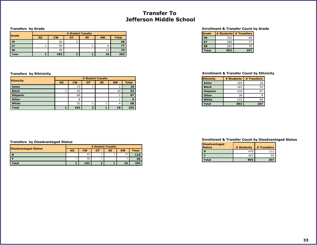## **Transfer To Jefferson Middle School**

#### **Transfers by Grade**

|              | # Student Transfer |           |    |           |           |              |  |
|--------------|--------------------|-----------|----|-----------|-----------|--------------|--|
| lGrade       | <b>AD</b>          | <b>CW</b> | OT | <b>SE</b> | <b>SW</b> | <b>Total</b> |  |
| 06           |                    | 56        |    |           |           | 58           |  |
| 07           |                    | 69        |    |           |           | 77           |  |
| 08           |                    | 58        |    |           |           | 70           |  |
| <b>Total</b> |                    | 183       |    |           | 18        | 205          |  |

| <b>Ethnicity</b> |           | # Student Transfer |           |           |           |              |  |
|------------------|-----------|--------------------|-----------|-----------|-----------|--------------|--|
|                  | <b>AD</b> | <b>CW</b>          | <b>OT</b> | <b>SE</b> | <b>SW</b> | <b>Total</b> |  |
| Asian            |           | 15                 |           |           | ے         | 18           |  |
| <b>Black</b>     |           | 42                 |           |           | 10        | 53           |  |
| <b>Hispanic</b>  |           | 66                 |           |           |           | 67           |  |
| <b>Other</b>     |           | 8                  |           |           |           | 9            |  |
| White            |           | 52                 |           |           | 4         | 58           |  |
| <b>Total</b>     |           | 183                |           |           | 18        | 205          |  |

#### **Enrollment & Transfer Count by Grade**

| <b>S</b> rade |     | # Students # Transfers |
|---------------|-----|------------------------|
| 06            | 322 | 60                     |
| 07            | 290 | 77                     |
| 08            | 281 | 70                     |
| <b>Total</b>  | 893 | 207                    |

### <span id="page-33-0"></span>**Transfers by Ethinicity Enrollment & Transfer Count by Ethnicity**

| <b>Ethnicity</b> | # Students | # Transfers |
|------------------|------------|-------------|
| <b>Asian</b>     | 104        | 18          |
| <b>Black</b>     | 163        | 53          |
| <b>Hispanic</b>  | 318        | 67          |
| <b>Other</b>     | 36         |             |
| White            | 272        | 60          |
| Total            | 893        | 207         |

#### **Enrollment & Transfer Count by Disadvantaged Status**

| <b>Disadvantaged</b><br><b>Status</b> | # Students | # Transfers |
|---------------------------------------|------------|-------------|
|                                       | 470        | 117         |
|                                       | 423        |             |
| Total                                 | 893        | 207         |

|                             | # Student Transfer |           |    |           |           |              |  |
|-----------------------------|--------------------|-----------|----|-----------|-----------|--------------|--|
| <b>Disadvantaged Status</b> | <b>AD</b>          | <b>CW</b> | OT | <b>SE</b> | <b>SW</b> | <b>Total</b> |  |
|                             |                    | 91        |    |           | 17        | 110          |  |
|                             |                    | 92        |    |           |           | 95           |  |
| <b>Total</b>                |                    | 183       |    |           | 18        | 205          |  |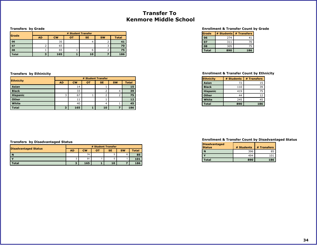## **Transfer To Kenmore Middle School**

#### **Transfers by Grade**

|               | # Student Transfer |           |    |           |           |              |  |
|---------------|--------------------|-----------|----|-----------|-----------|--------------|--|
| <b>S</b> rade | <b>AD</b>          | <b>CW</b> | OT | <b>SE</b> | <b>SW</b> | <b>Total</b> |  |
| 06            |                    | 35        |    |           |           |              |  |
| 07            |                    | 65        |    |           |           | 70           |  |
| 08            |                    | 65        |    | n         |           | 75           |  |
| <b>Total</b>  |                    | 165       |    | 10        |           | 186          |  |

| <b>Ethnicity</b> |           | # Student Transfer |           |           |           |              |  |  |
|------------------|-----------|--------------------|-----------|-----------|-----------|--------------|--|--|
|                  | <b>AD</b> | <b>CW</b>          | <b>OT</b> | <b>SE</b> | <b>SW</b> | <b>Total</b> |  |  |
| Asian            |           | 14                 |           |           |           | 15           |  |  |
| <b>Black</b>     |           | 33                 |           | ے         | 4         | 39           |  |  |
| <b>Hispanic</b>  | 3         | 67                 |           |           |           | 75           |  |  |
| Other            |           | 11                 |           |           |           | 12           |  |  |
| White            |           | 40                 |           | 4         |           | 45           |  |  |
| <b>Total</b>     | 3         | 165                |           | 10        |           | 186          |  |  |

#### **Enrollment & Transfer Count by Grade**

| lGrade       |     | # Students # Transfers |
|--------------|-----|------------------------|
| 06           | 274 | 41                     |
| 07           | 311 | 70                     |
| 08           | 305 | 75                     |
| <b>Total</b> | 890 | 186                    |

### <span id="page-34-0"></span>**Transfers by Ethinicity Enrollment & Transfer Count by Ethnicity**

| <b>Ethnicity</b> | # Students | # Transfers |
|------------------|------------|-------------|
| <b>Asian</b>     | 72         | 15          |
| <b>Black</b>     | 110        | 39          |
| <b>Hispanic</b>  | 419        | 75          |
| <b>Other</b>     | 44         | 12          |
| White            | 245        | 45          |
| <b>Total</b>     | 890        | 186         |

#### **Enrollment & Transfer Count by Disadvantaged Status**

| <b>Disadvantaged</b><br><b>Status</b> | # Students | # Transfers |
|---------------------------------------|------------|-------------|
|                                       | 396        | 85          |
|                                       | 494        | 101         |
| Total                                 | 890        | 186         |

|                             | # Student Transfer |           |    |           |           |              |  |
|-----------------------------|--------------------|-----------|----|-----------|-----------|--------------|--|
| <b>Disadvantaged Status</b> | <b>AD</b>          | <b>CW</b> | OT | <b>SE</b> | <b>SW</b> | <b>Total</b> |  |
|                             |                    | 74        |    |           | c         | 85           |  |
|                             |                    | 91        |    |           |           | 101          |  |
| <b>Total</b>                | $\bullet$          | 165       |    | 10        |           | 186          |  |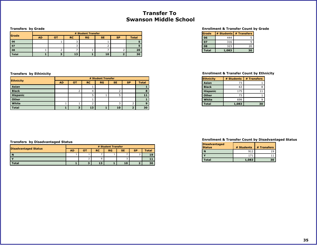## **Transfer To Swanson Middle School**

#### **Transfers by Grade**

| <b>Grade</b> | # Student Transfer |    |           |    |           |           |              |  |
|--------------|--------------------|----|-----------|----|-----------|-----------|--------------|--|
|              | <b>AD</b>          | от | <b>RC</b> | RG | <b>SE</b> | <b>SP</b> | <b>Total</b> |  |
| 06           |                    |    |           |    |           |           |              |  |
| 07           |                    |    |           |    |           |           |              |  |
| 08           |                    |    |           |    |           |           | 20           |  |
| <b>Total</b> |                    |    | 13        |    | 10        |           | 30           |  |

#### **Enrollment & Transfer Count by Grade**

| <b>S</b> rade |       | # Students # Transfers |
|---------------|-------|------------------------|
| 06            | 444   |                        |
| 07            | 316   |                        |
| 08            | 323   | 20                     |
| <b>Total</b>  | 1,083 | 30                     |

|                  | # Student Transfer |           |           |    |           |           |              |
|------------------|--------------------|-----------|-----------|----|-----------|-----------|--------------|
| <b>Ethnicity</b> | <b>AD</b>          | <b>OT</b> | <b>RC</b> | RG | <b>SE</b> | <b>SP</b> | <b>Total</b> |
| Asian            |                    |           |           |    |           |           |              |
| <b>Black</b>     |                    |           |           |    |           |           | 8            |
| <b>Hispanic</b>  |                    |           |           |    | −         |           | 11           |
| Other            |                    |           |           |    |           |           |              |
| White            |                    |           |           |    | っ         |           | 9            |
| <b>Total</b>     | ┻                  | 3         | 13        |    | 10        | 7         | 30           |

### <span id="page-35-0"></span>**Transfers by Ethinicity Enrollment & Transfer Count by Ethnicity**

| <b>Ethnicity</b> | # Students | # Transfers |
|------------------|------------|-------------|
| Asian            | 73         |             |
| <b>Black</b>     | 63         |             |
| <b>Hispanic</b>  | 175        |             |
| <b>Other</b>     | 73         |             |
| <b>White</b>     | 699        |             |
| Total            | 1,083      |             |

#### **Enrollment & Transfer Count by Disadvantaged Status**

| Disadvantaged<br><b>Status</b> | # Students | # Transfers |
|--------------------------------|------------|-------------|
|                                | 912        | 19          |
|                                | 171        |             |
| <b>Total</b>                   | 1,083      | 30          |

|                             | # Student Transfer |  |           |    |           |           |              |
|-----------------------------|--------------------|--|-----------|----|-----------|-----------|--------------|
| <b>Disadvantaged Status</b> | <b>AD</b>          |  | <b>RC</b> | RG | <b>SE</b> | <b>SP</b> | <b>Total</b> |
|                             |                    |  |           |    |           |           |              |
|                             |                    |  |           |    |           |           |              |
| <b>Total</b>                |                    |  |           |    | 10        |           | 30           |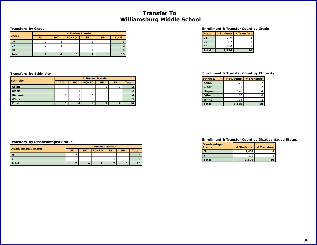## **Transfer To Williamsburg Middle School**

#### **Transfers by Grade**

|               | # Student Transfer |           |              |           |           |              |
|---------------|--------------------|-----------|--------------|-----------|-----------|--------------|
| <b>S</b> rade | <b>AD</b>          | <b>RC</b> | <b>RCHRD</b> | <b>SE</b> | <b>SP</b> | <b>Total</b> |
| 06            |                    |           |              |           |           |              |
| 07            |                    |           |              |           |           |              |
| 08            |                    |           |              |           |           |              |
| <b>Total</b>  |                    |           |              |           |           |              |

| <b>Ethnicity</b> | # Student Transfer |           |              |           |           |              |  |
|------------------|--------------------|-----------|--------------|-----------|-----------|--------------|--|
|                  | <b>AD</b>          | <b>RC</b> | <b>RCHRD</b> | <b>SE</b> | <b>SP</b> | <b>Total</b> |  |
| Asian            |                    |           |              |           |           |              |  |
| <b>Black</b>     |                    |           |              |           |           |              |  |
| <b>Hispanic</b>  |                    |           |              |           |           |              |  |
| White            |                    |           |              |           |           |              |  |
| <b>Total</b>     |                    |           |              |           |           | 10           |  |

### **Enrollment & Transfer Count by Grade**

| lGrade       |       | # Students # Transfers |
|--------------|-------|------------------------|
| 06           | 379   |                        |
| 07           | 387   |                        |
| 08           | 360   |                        |
| <b>Total</b> | 1,126 | 10                     |

### <span id="page-36-0"></span>**Transfers by Ethinicity Enrollment & Transfer Count by Ethnicity**

| <b>Ethnicity</b> | # Students | # Transfers |
|------------------|------------|-------------|
| Asian            | 77         |             |
| <b>Black</b>     | 63         | 2           |
| <b>Hispanic</b>  | 128        |             |
| <b>Other</b>     | 60         |             |
| White            | 798        |             |
| Total            | 1,126      |             |

#### **Transfers by Disadvantaged Status**

|                             |           | # Student Transfer |              |           |           |              |
|-----------------------------|-----------|--------------------|--------------|-----------|-----------|--------------|
| <b>Disadvantaged Status</b> | <b>AD</b> | <b>RC</b>          | <b>RCHRD</b> | <b>SE</b> | <b>SP</b> | <b>Total</b> |
| N                           |           |                    |              |           |           |              |
|                             |           |                    |              |           |           |              |
| <b>Total</b>                |           |                    |              |           |           |              |

| Disadvantaged<br><b>Status</b> | # Students | # Transfers |
|--------------------------------|------------|-------------|
|                                | 1,007      |             |
|                                | 119        |             |
| Total                          | 1.126      |             |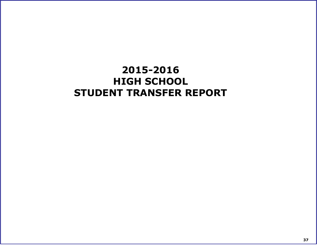# <span id="page-37-0"></span>**2015-2016 HIGH SCHOOL STUDENT TRANSFER REPORT**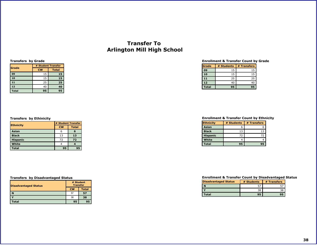## **Transfer To Arlington Mill High School**

#### **Transfers by Grade**

|              | # Student Transfer |              |  |  |
|--------------|--------------------|--------------|--|--|
| <b>Grade</b> | <b>CW</b>          | <b>Total</b> |  |  |
| 09           | 15                 | 15           |  |  |
| 10           | 15                 | 15           |  |  |
| 11           | 25                 | 25           |  |  |
| 12           | 40                 | 40           |  |  |
| <b>Total</b> | 95                 | 95           |  |  |

#### **Enrollment & Transfer Count by Grade**

| Grade        | # Students | # Transfers |
|--------------|------------|-------------|
| 09           | 15         | 15          |
| 10           | 15         | 15          |
| 11           | 25         | 25          |
| 12           | 40         | 40          |
| <b>Total</b> | 95         | 95          |

|                  | # Student Transfer |              |  |  |
|------------------|--------------------|--------------|--|--|
| <b>Ethnicity</b> | <b>CW</b>          | <b>Total</b> |  |  |
| Asian            |                    | 6            |  |  |
| <b>Black</b>     | 13                 | 13           |  |  |
| <b>Hispanic</b>  | 72                 | 72           |  |  |
| White            |                    |              |  |  |
| <b>Total</b>     | 95                 | 95           |  |  |

### **Transfers by Disadvantaged Status**

| <b>Disadvantaged Status</b> | # Student<br><b>Transfer</b> |              |  |
|-----------------------------|------------------------------|--------------|--|
|                             | <b>CW</b>                    | <b>Total</b> |  |
| N                           | 57                           | 57           |  |
|                             | 38                           | 38           |  |
| <b>Total</b>                | 95                           | 95           |  |

### <span id="page-38-0"></span>**Transfers by Ethinicity Enrollment & Transfer Count by Ethnicity**

| <b>Ethnicity</b> | # Students | # Transfers |
|------------------|------------|-------------|
| Asian            |            |             |
| <b>Black</b>     | 13         | 13          |
| <b>Hispanic</b>  | 72         | 72          |
| White            |            |             |
| Total            | 95         |             |

| <b>Disadvantaged Status</b> | # Students | # Transfers |  |
|-----------------------------|------------|-------------|--|
|                             | 57         |             |  |
|                             | 38         |             |  |
| Total                       | 95         |             |  |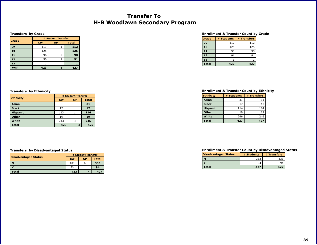## **Transfer To H-B Woodlawn Secondary Program**

#### **Transfers by Grade**

| <b>Grade</b> |           | # Student Transfer |              |  |  |  |
|--------------|-----------|--------------------|--------------|--|--|--|
|              | <b>CW</b> | <b>SP</b>          | <b>Total</b> |  |  |  |
| 09           | 111       |                    | 112          |  |  |  |
| 10           | 125       |                    | 125          |  |  |  |
| 11           | 96        |                    | 98           |  |  |  |
| 12           | 90        |                    | 91           |  |  |  |
| 13           |           |                    |              |  |  |  |
| <b>Total</b> | 423       |                    | 427          |  |  |  |

#### **Enrollment & Transfer Count by Grade**

| Grade        | # Students | # Transfers |
|--------------|------------|-------------|
| 09           | 112        | 112         |
| 10           | 125        | 125         |
| 11           | 98         | 98          |
| 12           | 91         | 91          |
| 13           |            |             |
| <b>Total</b> | 427        | 427         |

|                 | # Student Transfer |           |              |  |
|-----------------|--------------------|-----------|--------------|--|
| Ethnicity       | <b>CW</b>          | <b>SP</b> | <b>Total</b> |  |
| Asian           | 31                 |           | 31           |  |
| <b>Black</b>    | 17                 |           | 17           |  |
| <b>Hispanic</b> | 113                |           | 114          |  |
| <b>Other</b>    | 19                 |           | 19           |  |
| White           | 243                |           | 246          |  |
| <b>Total</b>    | 423                |           | 427          |  |

#### **Transfers by Disadvantaged Status**

| Disadvantaged Status | # Student Transfer |           |              |  |
|----------------------|--------------------|-----------|--------------|--|
|                      | <b>CW</b>          | <b>SP</b> | <b>Total</b> |  |
| N                    | 330                |           | 333          |  |
|                      | 93                 |           | 94           |  |
| Total                | 423                |           | 427          |  |

### <span id="page-39-0"></span>**Transfers by Ethinicity Enrollment & Transfer Count by Ethnicity**

| <b>Ethnicity</b> | # Students | # Transfers |
|------------------|------------|-------------|
| Asian            | 31         | 31          |
| <b>Black</b>     | 17         | 17          |
| <b>Hispanic</b>  | 114        | 114         |
| <b>Other</b>     | 19         | 19          |
| White            | 246        | 246         |
| Total            | 427        | 427         |

| <b>Disadvantaged Status</b> | # Students | # Transfers |
|-----------------------------|------------|-------------|
|                             | 333        |             |
|                             | 94         | 94          |
| Total                       | 427        | 427         |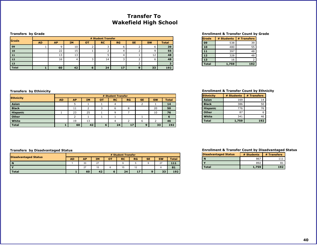## **Transfer To Wakefield High School**

#### **Transfers by Grade**

|              |           |           |           |    | # Student Transfer |           |           |           |              |
|--------------|-----------|-----------|-----------|----|--------------------|-----------|-----------|-----------|--------------|
| <b>Grade</b> | <b>AD</b> | <b>AP</b> | <b>IM</b> | от | <b>RC</b>          | <b>RG</b> | <b>SE</b> | <b>SW</b> | <b>Total</b> |
| 09           |           |           | 10        |    |                    | b         |           |           | 39           |
| 10           |           | 22        | 15        |    |                    | 4         |           |           | 55           |
| 11           |           | 13        | 13        |    |                    | 4         |           | 12        | 48           |
| 12           |           | 16        |           |    | 14                 |           |           |           | 48           |
| 13           |           |           |           |    |                    |           |           |           |              |
| <b>Total</b> |           | 60        | 42        | o  | 24                 | 17        |           | 33        | 192          |

#### **Enrollment & Transfer Count by Grade**

| lGrade       | # Students | # Transfers |
|--------------|------------|-------------|
| 09           | 538        | 39          |
| 10           | 480        | 55          |
| 11           | 397        | 48          |
| 12           | 328        | 48          |
| 13           | 16         |             |
| <b>Total</b> | 1,759      | 192         |

| <b>Ethnicity</b> |           | # Student Transfer |           |    |           |    |           |           |              |
|------------------|-----------|--------------------|-----------|----|-----------|----|-----------|-----------|--------------|
|                  | <b>AD</b> | <b>AP</b>          | <b>IM</b> | ΟТ | <b>RC</b> | RG | <b>SE</b> | <b>SW</b> | <b>Total</b> |
| Asian            |           |                    |           |    |           |    |           |           | 14           |
| <b>Black</b>     |           | 11                 |           |    | ь         | 8  |           | 20        | 50           |
| <b>Hispanic</b>  |           | 23                 | 25        |    | Ω         |    |           | 10        | 76           |
| Other            |           |                    |           |    |           |    |           |           | 6            |
| White            |           | 19                 | 13        |    |           |    | ь         |           | 46           |
| <b>Total</b>     |           | 60                 | 42        | 6  | 24        | 17 | $\Omega$  | 33        | 192          |

### <span id="page-40-0"></span>**Transfers by Ethinicity Enrollment & Transfer Count by Ethnicity**

| <b>Ethnicity</b> | # Students | # Transfers |
|------------------|------------|-------------|
| Asian            | 169        | 14          |
| <b>Black</b>     | 386        | 50          |
| <b>Hispanic</b>  | 776        | 76          |
| <b>Other</b>     | 87         |             |
| White            | 341        | 46          |
| <b>Total</b>     | 1,759      | 192         |

#### **Transfers by Disadvantaged Status**

| <b>Disadvantaged Status</b> | # Student Transfer |           |           |           |           |           |           |           |              |
|-----------------------------|--------------------|-----------|-----------|-----------|-----------|-----------|-----------|-----------|--------------|
|                             | AD                 | <b>AP</b> | <b>IM</b> | <b>OT</b> | <b>RC</b> | <b>RG</b> | <b>SE</b> | <b>SW</b> | <b>Total</b> |
| -N                          |                    | 33        | 27        |           |           |           |           | 27        | 111          |
|                             |                    | 27        | 15        |           | 15        | 12        |           |           | 81           |
| <b>Total</b>                |                    | 60        | 42        |           | 24        | 17        |           | 33        | 192          |

| <b>Disadvantaged Status</b> | # Students | # Transfers |  |
|-----------------------------|------------|-------------|--|
|                             | 867        |             |  |
|                             | 892        |             |  |
| Total                       | 1.759      | 192         |  |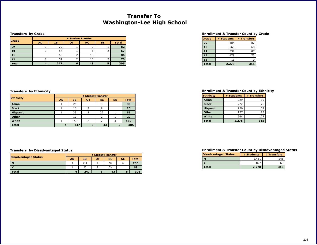## **Transfer To Washington-Lee High School**

#### **Transfers by Grade**

| Grade        | # Student Transfer |     |           |           |           |              |  |  |  |
|--------------|--------------------|-----|-----------|-----------|-----------|--------------|--|--|--|
|              | <b>AD</b>          | IΒ  | <b>OT</b> | <b>RC</b> | <b>SE</b> | <b>Total</b> |  |  |  |
| 09           |                    | 70  |           |           |           | 82           |  |  |  |
| 10           |                    | 57  |           | b         |           | 67           |  |  |  |
| 11           |                    | 66  |           | 18        |           | 86           |  |  |  |
| 12           |                    | 54  |           | 10        |           | 70           |  |  |  |
| <b>Total</b> |                    | 247 | ь         | 43        |           | 305          |  |  |  |

#### **Enrollment & Transfer Count by Grade**

| Grade        | # Students | # Transfers |
|--------------|------------|-------------|
| 09           | 684        | 87          |
| 10           | 568        | 68          |
| 11           | 537        | 87          |
| 12           | 478        | 73          |
| 13           | 11         |             |
| <b>Total</b> | 2,278      | 315         |

| <b>Ethnicity</b> | # Student Transfer |     |           |           |           |              |  |  |
|------------------|--------------------|-----|-----------|-----------|-----------|--------------|--|--|
|                  | <b>AD</b>          | IB. | <b>OT</b> | <b>RC</b> | <b>SE</b> | <b>Total</b> |  |  |
| Asian            |                    | 26  |           |           |           | 30           |  |  |
| <b>Black</b>     |                    | 13  |           | q         |           | 25           |  |  |
| <b>Hispanic</b>  |                    | 33  |           | 22        |           | 59           |  |  |
| Other            |                    | 19  |           |           |           | 22           |  |  |
| White            |                    | 156 |           |           |           | 169          |  |  |
| <b>Total</b>     | 4                  | 247 | 6         | 43        | 5         | 305          |  |  |

#### **Transfers by Disadvantaged Status**

|                             | # Student Transfer |     |           |           |           |              |  |  |
|-----------------------------|--------------------|-----|-----------|-----------|-----------|--------------|--|--|
| <b>Disadvantaged Status</b> | <b>AD</b>          | IΒ  | <b>OT</b> | <b>RC</b> | <b>SE</b> | <b>Total</b> |  |  |
| $\mathbf N$                 |                    | 214 |           | 10        |           | 236          |  |  |
|                             |                    | 33  |           | 33        |           | 69           |  |  |
| <b>Total</b>                |                    | 247 | 6         | 43        |           | 305          |  |  |

### <span id="page-41-0"></span>**Transfers by Ethinicity Enrollment & Transfer Count by Ethnicity**

| <b>Ethnicity</b> | # Students | # Transfers |
|------------------|------------|-------------|
| Asian            | 229        | 30          |
| <b>Black</b>     | 222        | 26          |
| <b>Hispanic</b>  | 756        | 59          |
| <b>Other</b>     | 127        | 23          |
| White            | 944        | 177         |
| <b>Total</b>     | 2,278      | 315         |

| <b>Disadvantaged Status</b> | # Students | # Transfers |  |
|-----------------------------|------------|-------------|--|
|                             | 1,451      | 246         |  |
|                             | 827        | 69          |  |
| Total                       | 2,278      | 315         |  |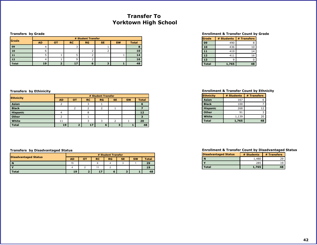## **Transfer To Yorktown High School**

#### **Transfers by Grade**

| Grade        | # Student Transfer |    |           |    |           |           |              |  |  |
|--------------|--------------------|----|-----------|----|-----------|-----------|--------------|--|--|
|              | <b>AD</b>          | от | <b>RC</b> | RG | <b>SE</b> | <b>SW</b> | <b>Total</b> |  |  |
| 09           |                    |    |           |    |           |           |              |  |  |
| 10           | ь                  |    |           |    |           |           | 10           |  |  |
| 11           |                    |    |           |    |           |           | 14           |  |  |
| 12           |                    |    |           |    |           |           | 16           |  |  |
| <b>Total</b> | 19                 |    | 17        |    |           |           | 48           |  |  |

#### **Enrollment & Transfer Count by Grade**

| Grade        | # Students | # Transfers |
|--------------|------------|-------------|
| 09           | 490        |             |
| 10           | 436        | 10          |
| 11           | 419        | 14          |
| 12           | 411        | 16          |
| 13           |            |             |
| <b>Total</b> | 1,765      | 48          |

| <b>Ethnicity</b> | # Student Transfer |    |           |           |           |           |              |
|------------------|--------------------|----|-----------|-----------|-----------|-----------|--------------|
|                  | <b>AD</b>          | от | <b>RC</b> | <b>RG</b> | <b>SE</b> | <b>SW</b> | <b>Total</b> |
| Asian            |                    |    |           |           |           |           |              |
| <b>Black</b>     |                    |    |           |           |           |           |              |
| <b>Hispanic</b>  |                    |    | 8         |           |           |           | 12           |
| Other            |                    |    |           |           |           |           |              |
| White            | 11                 |    |           |           |           |           | 20           |
| <b>Total</b>     | 19                 |    | 17        | 6         |           |           | 48           |

#### **Transfers by Disadvantaged Status**

|                             | # Student Transfer |  |           |    |           |           |              |
|-----------------------------|--------------------|--|-----------|----|-----------|-----------|--------------|
| <b>Disadvantaged Status</b> | AD                 |  | <b>RC</b> | RG | <b>SE</b> | <b>SW</b> | <b>Total</b> |
| n                           | 15                 |  |           |    |           |           | 29           |
|                             |                    |  |           |    |           |           |              |
| <b>Total</b>                | 19                 |  |           |    |           |           | 48           |

### <span id="page-42-0"></span>**Transfers by Ethinicity Enrollment & Transfer Count by Ethnicity**

| <b>Ethnicity</b> | # Students | # Transfers |
|------------------|------------|-------------|
| Asian            | 167        |             |
| <b>Black</b>     | 100        |             |
| <b>Hispanic</b>  | 268        | 12          |
| <b>Other</b>     | 91         |             |
| White            | 1,139      | 20          |
| <b>Total</b>     | 1,765      | 48          |

| Disadvantaged Status | # Students | # Transfers |
|----------------------|------------|-------------|
| I N                  | 1,480      | סכ          |
|                      | 285        | 19          |
| Total                | 1,765      |             |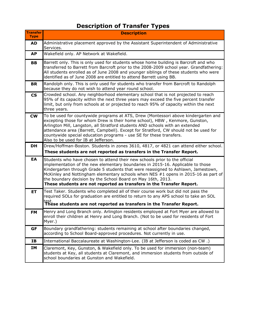# **Description of Transfer Types**

<span id="page-43-0"></span>

| <b>Transfer</b><br><b>Type</b> | <b>Description</b>                                                                                                                                                                                                                                                                                                                                                                                                                                                                 |
|--------------------------------|------------------------------------------------------------------------------------------------------------------------------------------------------------------------------------------------------------------------------------------------------------------------------------------------------------------------------------------------------------------------------------------------------------------------------------------------------------------------------------|
| <b>AD</b>                      | Administrative placement approved by the Assistant Superintendent of Administrative<br>Services.                                                                                                                                                                                                                                                                                                                                                                                   |
| <b>AP</b>                      | Wakefield only. AP Network at Wakefield.                                                                                                                                                                                                                                                                                                                                                                                                                                           |
| <b>BB</b>                      | Barrett only. This is only used for students whose home building is Barcroft and who<br>transferred to Barrett from Barcroft prior to the 2008-2009 school year. Grandfathering:<br>All students enrolled as of June 2008 and younger siblings of these students who were<br>identified as of June 2008 are entitled to attend Barrett using BB.                                                                                                                                   |
| <b>BR</b>                      | Randolph only. This is only used for students who transfer from Barcroft to Randolph<br>because they do not wish to attend year round school.                                                                                                                                                                                                                                                                                                                                      |
| $\mathsf{CS}\phantom{0}$       | Crowded school. Any neighborhood elementary school that is not projected to reach<br>95% of its capacity within the next three years may exceed the five percent transfer<br>limit, but only from schools at or projected to reach 95% of capacity within the next<br>three years.                                                                                                                                                                                                 |
| <b>CW</b>                      | To be used for countywide programs at ATS, Drew (Montessori above kindergarten and<br>excepting those for whom Drew is their home school), HBW, Kenmore, Gunston,<br>Arlington Mill, Langston, all Stratford students AND schools with an extended<br>attendance area (Barrett, Campbell). Except for Stratford, CW should not be used for<br>countywide special education programs - use SE for these transfers.<br>Also to be used for IB at Jefferson.                          |
| <b>DH</b>                      | Drew/Hoffman-Boston. Students in zones 3610, 4817, or 4821 can attend either school.                                                                                                                                                                                                                                                                                                                                                                                               |
|                                | These students are not reported as transfers in the Transfer Report.                                                                                                                                                                                                                                                                                                                                                                                                               |
| EA                             | Students who have chosen to attend their new schools prior to the official<br>implementation of the new elementary boundaries in 2015-16. Applicable to those<br>Kindergarten through Grade 5 students that were reassigned to Ashlawn, Jamestown,<br>McKinley and Nottingham elementary schools when NES $#1$ opens in 2015-16 as part of<br>the boundary decision by the School Board on May 16th, 2013.<br>These students are not reported as transfers in the Transfer Report. |
| <b>ET</b>                      | Test Taker. Students who completed all of their course work but did not pass the<br>required SOLs for graduation are entitled to return to any APS school to take an SOL<br>test.<br>These students are not reported as transfers in the Transfer Report.                                                                                                                                                                                                                          |
| <b>FM</b>                      | Henry and Long Branch only. Arlington residents employed at Fort Myer are allowed to<br>enroll their children at Henry and Long Branch. (Not to be used for residents of Fort<br>Myer.)                                                                                                                                                                                                                                                                                            |
| GF                             | Boundary grandfathering: students remaining at school after boundaries changed,<br>according to School Board-approved procedures. Not currently in use.                                                                                                                                                                                                                                                                                                                            |
| <b>IB</b>                      | International Baccalaureate at Washington-Lee. (IB at Jefferson is coded as CW.)                                                                                                                                                                                                                                                                                                                                                                                                   |
| IΜ                             | Claremont, Key, Gunston, & Wakefield only. To be used for immersion (non-team)<br>students at Key, all students at Claremont, and immersion students from outside of<br>school boundaries at Gunston and Wakefield.                                                                                                                                                                                                                                                                |